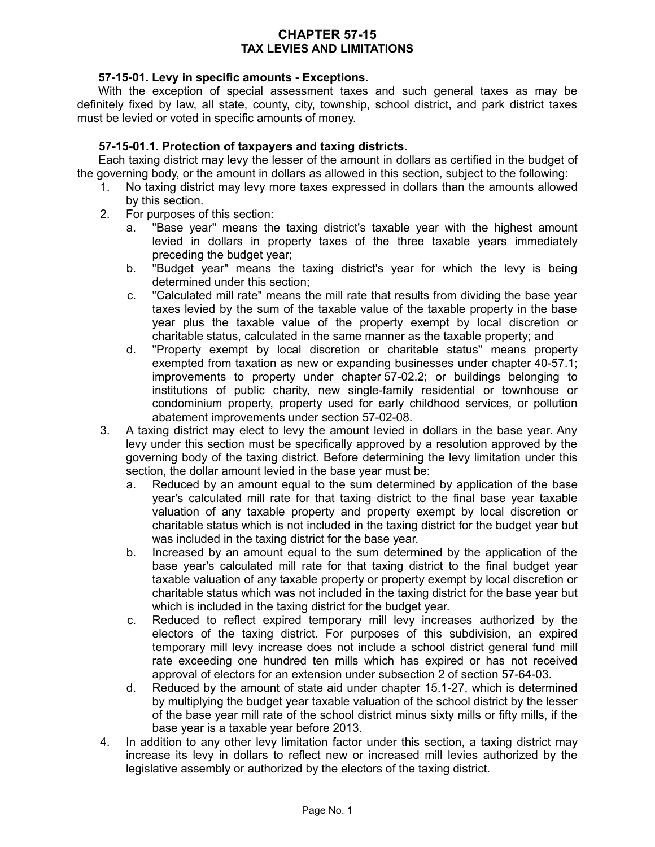## **CHAPTER 57-15 TAX LEVIES AND LIMITATIONS**

## **57-15-01. Levy in specific amounts - Exceptions.**

With the exception of special assessment taxes and such general taxes as may be definitely fixed by law, all state, county, city, township, school district, and park district taxes must be levied or voted in specific amounts of money.

## **57-15-01.1. Protection of taxpayers and taxing districts.**

Each taxing district may levy the lesser of the amount in dollars as certified in the budget of the governing body, or the amount in dollars as allowed in this section, subject to the following:

- 1. No taxing district may levy more taxes expressed in dollars than the amounts allowed by this section.
- 2. For purposes of this section:
	- a. "Base year" means the taxing district's taxable year with the highest amount levied in dollars in property taxes of the three taxable years immediately preceding the budget year;
	- b. "Budget year" means the taxing district's year for which the levy is being determined under this section;
	- c. "Calculated mill rate" means the mill rate that results from dividing the base year taxes levied by the sum of the taxable value of the taxable property in the base year plus the taxable value of the property exempt by local discretion or charitable status, calculated in the same manner as the taxable property; and
	- d. "Property exempt by local discretion or charitable status" means property exempted from taxation as new or expanding businesses under chapter 40-57.1; improvements to property under chapter 57-02.2; or buildings belonging to institutions of public charity, new single-family residential or townhouse or condominium property, property used for early childhood services, or pollution abatement improvements under section 57-02-08.
- 3. A taxing district may elect to levy the amount levied in dollars in the base year. Any levy under this section must be specifically approved by a resolution approved by the governing body of the taxing district. Before determining the levy limitation under this section, the dollar amount levied in the base year must be:
	- a. Reduced by an amount equal to the sum determined by application of the base year's calculated mill rate for that taxing district to the final base year taxable valuation of any taxable property and property exempt by local discretion or charitable status which is not included in the taxing district for the budget year but was included in the taxing district for the base year.
	- b. Increased by an amount equal to the sum determined by the application of the base year's calculated mill rate for that taxing district to the final budget year taxable valuation of any taxable property or property exempt by local discretion or charitable status which was not included in the taxing district for the base year but which is included in the taxing district for the budget year.
	- c. Reduced to reflect expired temporary mill levy increases authorized by the electors of the taxing district. For purposes of this subdivision, an expired temporary mill levy increase does not include a school district general fund mill rate exceeding one hundred ten mills which has expired or has not received approval of electors for an extension under subsection 2 of section 57-64-03.
	- d. Reduced by the amount of state aid under chapter 15.1-27, which is determined by multiplying the budget year taxable valuation of the school district by the lesser of the base year mill rate of the school district minus sixty mills or fifty mills, if the base year is a taxable year before 2013.
- 4. In addition to any other levy limitation factor under this section, a taxing district may increase its levy in dollars to reflect new or increased mill levies authorized by the legislative assembly or authorized by the electors of the taxing district.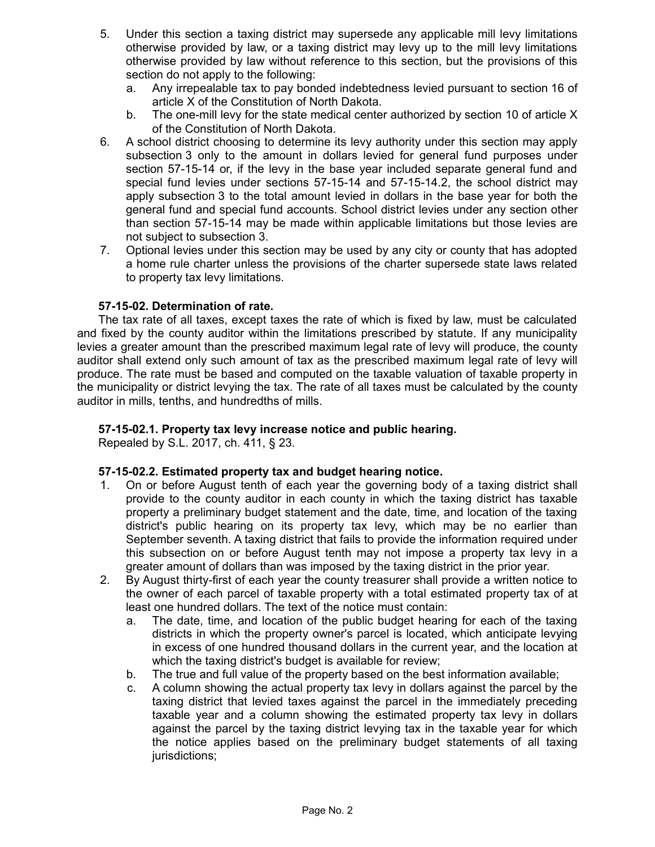- 5. Under this section a taxing district may supersede any applicable mill levy limitations otherwise provided by law, or a taxing district may levy up to the mill levy limitations otherwise provided by law without reference to this section, but the provisions of this section do not apply to the following:
	- a. Any irrepealable tax to pay bonded indebtedness levied pursuant to section 16 of article X of the Constitution of North Dakota.
	- b. The one-mill levy for the state medical center authorized by section 10 of article X of the Constitution of North Dakota.
- 6. A school district choosing to determine its levy authority under this section may apply subsection 3 only to the amount in dollars levied for general fund purposes under section 57-15-14 or, if the levy in the base year included separate general fund and special fund levies under sections 57-15-14 and 57-15-14.2, the school district may apply subsection 3 to the total amount levied in dollars in the base year for both the general fund and special fund accounts. School district levies under any section other than section 57-15-14 may be made within applicable limitations but those levies are not subject to subsection 3.
- 7. Optional levies under this section may be used by any city or county that has adopted a home rule charter unless the provisions of the charter supersede state laws related to property tax levy limitations.

## **57-15-02. Determination of rate.**

The tax rate of all taxes, except taxes the rate of which is fixed by law, must be calculated and fixed by the county auditor within the limitations prescribed by statute. If any municipality levies a greater amount than the prescribed maximum legal rate of levy will produce, the county auditor shall extend only such amount of tax as the prescribed maximum legal rate of levy will produce. The rate must be based and computed on the taxable valuation of taxable property in the municipality or district levying the tax. The rate of all taxes must be calculated by the county auditor in mills, tenths, and hundredths of mills.

## **57-15-02.1. Property tax levy increase notice and public hearing.**

Repealed by S.L. 2017, ch. 411, § 23.

#### **57-15-02.2. Estimated property tax and budget hearing notice.**

- 1. On or before August tenth of each year the governing body of a taxing district shall provide to the county auditor in each county in which the taxing district has taxable property a preliminary budget statement and the date, time, and location of the taxing district's public hearing on its property tax levy, which may be no earlier than September seventh. A taxing district that fails to provide the information required under this subsection on or before August tenth may not impose a property tax levy in a greater amount of dollars than was imposed by the taxing district in the prior year.
- 2. By August thirty-first of each year the county treasurer shall provide a written notice to the owner of each parcel of taxable property with a total estimated property tax of at least one hundred dollars. The text of the notice must contain:
	- a. The date, time, and location of the public budget hearing for each of the taxing districts in which the property owner's parcel is located, which anticipate levying in excess of one hundred thousand dollars in the current year, and the location at which the taxing district's budget is available for review;
	- b. The true and full value of the property based on the best information available;
	- c. A column showing the actual property tax levy in dollars against the parcel by the taxing district that levied taxes against the parcel in the immediately preceding taxable year and a column showing the estimated property tax levy in dollars against the parcel by the taxing district levying tax in the taxable year for which the notice applies based on the preliminary budget statements of all taxing jurisdictions;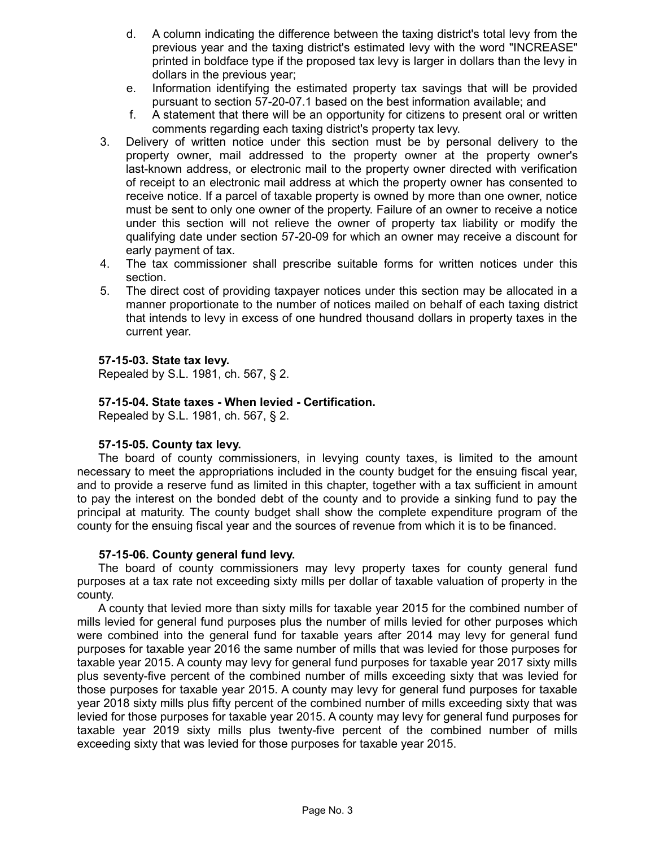- d. A column indicating the difference between the taxing district's total levy from the previous year and the taxing district's estimated levy with the word "INCREASE" printed in boldface type if the proposed tax levy is larger in dollars than the levy in dollars in the previous year;
- e. Information identifying the estimated property tax savings that will be provided pursuant to section 57-20-07.1 based on the best information available; and
- f. A statement that there will be an opportunity for citizens to present oral or written comments regarding each taxing district's property tax levy.
- 3. Delivery of written notice under this section must be by personal delivery to the property owner, mail addressed to the property owner at the property owner's last-known address, or electronic mail to the property owner directed with verification of receipt to an electronic mail address at which the property owner has consented to receive notice. If a parcel of taxable property is owned by more than one owner, notice must be sent to only one owner of the property. Failure of an owner to receive a notice under this section will not relieve the owner of property tax liability or modify the qualifying date under section 57-20-09 for which an owner may receive a discount for early payment of tax.
- 4. The tax commissioner shall prescribe suitable forms for written notices under this section.
- 5. The direct cost of providing taxpayer notices under this section may be allocated in a manner proportionate to the number of notices mailed on behalf of each taxing district that intends to levy in excess of one hundred thousand dollars in property taxes in the current year.

## **57-15-03. State tax levy.**

Repealed by S.L. 1981, ch. 567, § 2.

## **57-15-04. State taxes - When levied - Certification.**

Repealed by S.L. 1981, ch. 567, § 2.

## **57-15-05. County tax levy.**

The board of county commissioners, in levying county taxes, is limited to the amount necessary to meet the appropriations included in the county budget for the ensuing fiscal year, and to provide a reserve fund as limited in this chapter, together with a tax sufficient in amount to pay the interest on the bonded debt of the county and to provide a sinking fund to pay the principal at maturity. The county budget shall show the complete expenditure program of the county for the ensuing fiscal year and the sources of revenue from which it is to be financed.

## **57-15-06. County general fund levy.**

The board of county commissioners may levy property taxes for county general fund purposes at a tax rate not exceeding sixty mills per dollar of taxable valuation of property in the county.

A county that levied more than sixty mills for taxable year 2015 for the combined number of mills levied for general fund purposes plus the number of mills levied for other purposes which were combined into the general fund for taxable years after 2014 may levy for general fund purposes for taxable year 2016 the same number of mills that was levied for those purposes for taxable year 2015. A county may levy for general fund purposes for taxable year 2017 sixty mills plus seventy-five percent of the combined number of mills exceeding sixty that was levied for those purposes for taxable year 2015. A county may levy for general fund purposes for taxable year 2018 sixty mills plus fifty percent of the combined number of mills exceeding sixty that was levied for those purposes for taxable year 2015. A county may levy for general fund purposes for taxable year 2019 sixty mills plus twenty-five percent of the combined number of mills exceeding sixty that was levied for those purposes for taxable year 2015.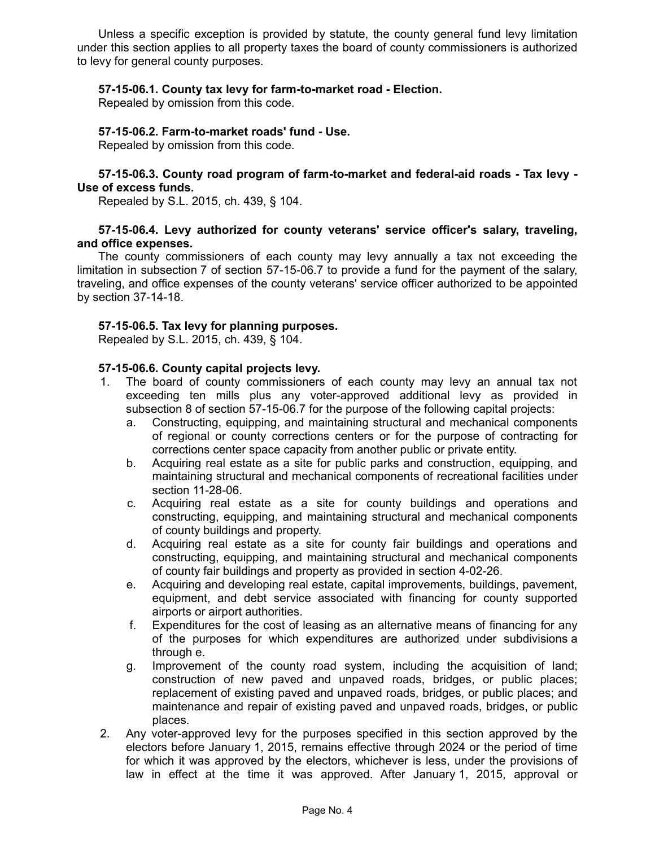Unless a specific exception is provided by statute, the county general fund levy limitation under this section applies to all property taxes the board of county commissioners is authorized to levy for general county purposes.

## **57-15-06.1. County tax levy for farm-to-market road - Election.**

Repealed by omission from this code.

### **57-15-06.2. Farm-to-market roads' fund - Use.**

Repealed by omission from this code.

### **57-15-06.3. County road program of farm-to-market and federal-aid roads - Tax levy - Use of excess funds.**

Repealed by S.L. 2015, ch. 439, § 104.

## **57-15-06.4. Levy authorized for county veterans' service officer's salary, traveling, and office expenses.**

The county commissioners of each county may levy annually a tax not exceeding the limitation in subsection 7 of section 57-15-06.7 to provide a fund for the payment of the salary, traveling, and office expenses of the county veterans' service officer authorized to be appointed by section 37-14-18.

### **57-15-06.5. Tax levy for planning purposes.**

Repealed by S.L. 2015, ch. 439, § 104.

## **57-15-06.6. County capital projects levy.**

- 1. The board of county commissioners of each county may levy an annual tax not exceeding ten mills plus any voter-approved additional levy as provided in subsection 8 of section 57-15-06.7 for the purpose of the following capital projects:
	- a. Constructing, equipping, and maintaining structural and mechanical components of regional or county corrections centers or for the purpose of contracting for corrections center space capacity from another public or private entity.
	- b. Acquiring real estate as a site for public parks and construction, equipping, and maintaining structural and mechanical components of recreational facilities under section 11-28-06.
	- c. Acquiring real estate as a site for county buildings and operations and constructing, equipping, and maintaining structural and mechanical components of county buildings and property.
	- d. Acquiring real estate as a site for county fair buildings and operations and constructing, equipping, and maintaining structural and mechanical components of county fair buildings and property as provided in section 4-02-26.
	- e. Acquiring and developing real estate, capital improvements, buildings, pavement, equipment, and debt service associated with financing for county supported airports or airport authorities.
	- f. Expenditures for the cost of leasing as an alternative means of financing for any of the purposes for which expenditures are authorized under subdivisions a through e.
	- g. Improvement of the county road system, including the acquisition of land; construction of new paved and unpaved roads, bridges, or public places; replacement of existing paved and unpaved roads, bridges, or public places; and maintenance and repair of existing paved and unpaved roads, bridges, or public places.
- 2. Any voter-approved levy for the purposes specified in this section approved by the electors before January 1, 2015, remains effective through 2024 or the period of time for which it was approved by the electors, whichever is less, under the provisions of law in effect at the time it was approved. After January 1, 2015, approval or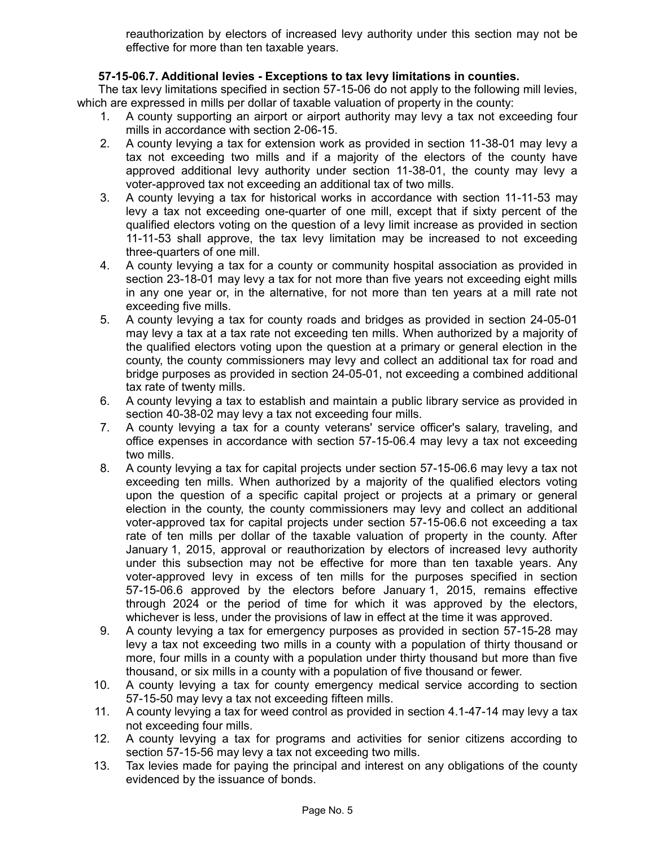reauthorization by electors of increased levy authority under this section may not be effective for more than ten taxable years.

## **57-15-06.7. Additional levies - Exceptions to tax levy limitations in counties.**

The tax levy limitations specified in section 57-15-06 do not apply to the following mill levies, which are expressed in mills per dollar of taxable valuation of property in the county:

- 1. A county supporting an airport or airport authority may levy a tax not exceeding four mills in accordance with section 2-06-15.
- 2. A county levying a tax for extension work as provided in section 11-38-01 may levy a tax not exceeding two mills and if a majority of the electors of the county have approved additional levy authority under section 11-38-01, the county may levy a voter-approved tax not exceeding an additional tax of two mills.
- 3. A county levying a tax for historical works in accordance with section 11-11-53 may levy a tax not exceeding one-quarter of one mill, except that if sixty percent of the qualified electors voting on the question of a levy limit increase as provided in section 11-11-53 shall approve, the tax levy limitation may be increased to not exceeding three-quarters of one mill.
- 4. A county levying a tax for a county or community hospital association as provided in section 23-18-01 may levy a tax for not more than five years not exceeding eight mills in any one year or, in the alternative, for not more than ten years at a mill rate not exceeding five mills.
- 5. A county levying a tax for county roads and bridges as provided in section 24-05-01 may levy a tax at a tax rate not exceeding ten mills. When authorized by a majority of the qualified electors voting upon the question at a primary or general election in the county, the county commissioners may levy and collect an additional tax for road and bridge purposes as provided in section 24-05-01, not exceeding a combined additional tax rate of twenty mills.
- 6. A county levying a tax to establish and maintain a public library service as provided in section 40-38-02 may levy a tax not exceeding four mills.
- 7. A county levying a tax for a county veterans' service officer's salary, traveling, and office expenses in accordance with section 57-15-06.4 may levy a tax not exceeding two mills.
- 8. A county levying a tax for capital projects under section 57-15-06.6 may levy a tax not exceeding ten mills. When authorized by a majority of the qualified electors voting upon the question of a specific capital project or projects at a primary or general election in the county, the county commissioners may levy and collect an additional voter-approved tax for capital projects under section 57-15-06.6 not exceeding a tax rate of ten mills per dollar of the taxable valuation of property in the county. After January 1, 2015, approval or reauthorization by electors of increased levy authority under this subsection may not be effective for more than ten taxable years. Any voter-approved levy in excess of ten mills for the purposes specified in section 57-15-06.6 approved by the electors before January 1, 2015, remains effective through 2024 or the period of time for which it was approved by the electors, whichever is less, under the provisions of law in effect at the time it was approved.
- 9. A county levying a tax for emergency purposes as provided in section 57-15-28 may levy a tax not exceeding two mills in a county with a population of thirty thousand or more, four mills in a county with a population under thirty thousand but more than five thousand, or six mills in a county with a population of five thousand or fewer.
- 10. A county levying a tax for county emergency medical service according to section 57-15-50 may levy a tax not exceeding fifteen mills.
- 11. A county levying a tax for weed control as provided in section 4.1-47-14 may levy a tax not exceeding four mills.
- 12. A county levying a tax for programs and activities for senior citizens according to section 57-15-56 may levy a tax not exceeding two mills.
- 13. Tax levies made for paying the principal and interest on any obligations of the county evidenced by the issuance of bonds.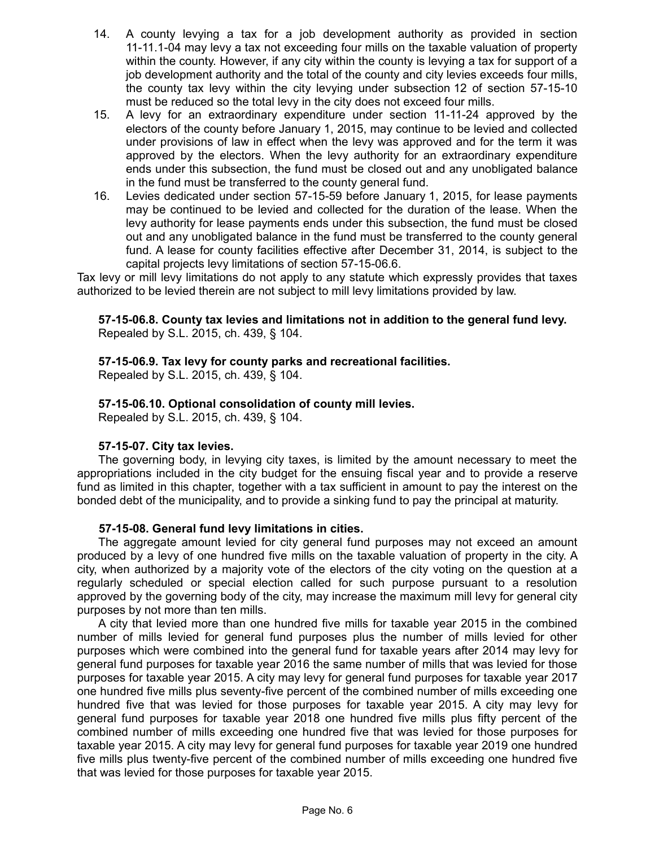- 14. A county levying a tax for a job development authority as provided in section 11-11.1-04 may levy a tax not exceeding four mills on the taxable valuation of property within the county. However, if any city within the county is levying a tax for support of a job development authority and the total of the county and city levies exceeds four mills, the county tax levy within the city levying under subsection 12 of section 57-15-10 must be reduced so the total levy in the city does not exceed four mills.
- 15. A levy for an extraordinary expenditure under section 11-11-24 approved by the electors of the county before January 1, 2015, may continue to be levied and collected under provisions of law in effect when the levy was approved and for the term it was approved by the electors. When the levy authority for an extraordinary expenditure ends under this subsection, the fund must be closed out and any unobligated balance in the fund must be transferred to the county general fund.
- 16. Levies dedicated under section 57-15-59 before January 1, 2015, for lease payments may be continued to be levied and collected for the duration of the lease. When the levy authority for lease payments ends under this subsection, the fund must be closed out and any unobligated balance in the fund must be transferred to the county general fund. A lease for county facilities effective after December 31, 2014, is subject to the capital projects levy limitations of section 57-15-06.6.

Tax levy or mill levy limitations do not apply to any statute which expressly provides that taxes authorized to be levied therein are not subject to mill levy limitations provided by law.

**57-15-06.8. County tax levies and limitations not in addition to the general fund levy.** Repealed by S.L. 2015, ch. 439, § 104.

## **57-15-06.9. Tax levy for county parks and recreational facilities.**

Repealed by S.L. 2015, ch. 439, § 104.

## **57-15-06.10. Optional consolidation of county mill levies.**

Repealed by S.L. 2015, ch. 439, § 104.

#### **57-15-07. City tax levies.**

The governing body, in levying city taxes, is limited by the amount necessary to meet the appropriations included in the city budget for the ensuing fiscal year and to provide a reserve fund as limited in this chapter, together with a tax sufficient in amount to pay the interest on the bonded debt of the municipality, and to provide a sinking fund to pay the principal at maturity.

#### **57-15-08. General fund levy limitations in cities.**

The aggregate amount levied for city general fund purposes may not exceed an amount produced by a levy of one hundred five mills on the taxable valuation of property in the city. A city, when authorized by a majority vote of the electors of the city voting on the question at a regularly scheduled or special election called for such purpose pursuant to a resolution approved by the governing body of the city, may increase the maximum mill levy for general city purposes by not more than ten mills.

A city that levied more than one hundred five mills for taxable year 2015 in the combined number of mills levied for general fund purposes plus the number of mills levied for other purposes which were combined into the general fund for taxable years after 2014 may levy for general fund purposes for taxable year 2016 the same number of mills that was levied for those purposes for taxable year 2015. A city may levy for general fund purposes for taxable year 2017 one hundred five mills plus seventy-five percent of the combined number of mills exceeding one hundred five that was levied for those purposes for taxable year 2015. A city may levy for general fund purposes for taxable year 2018 one hundred five mills plus fifty percent of the combined number of mills exceeding one hundred five that was levied for those purposes for taxable year 2015. A city may levy for general fund purposes for taxable year 2019 one hundred five mills plus twenty-five percent of the combined number of mills exceeding one hundred five that was levied for those purposes for taxable year 2015.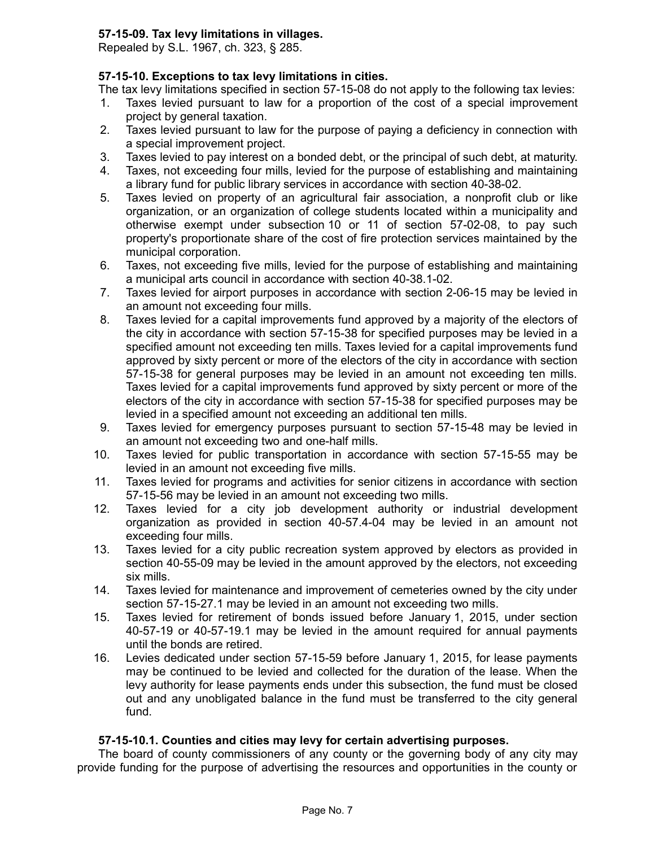## **57-15-09. Tax levy limitations in villages.**

Repealed by S.L. 1967, ch. 323, § 285.

## **57-15-10. Exceptions to tax levy limitations in cities.**

The tax levy limitations specified in section 57-15-08 do not apply to the following tax levies:

- 1. Taxes levied pursuant to law for a proportion of the cost of a special improvement project by general taxation.
- 2. Taxes levied pursuant to law for the purpose of paying a deficiency in connection with a special improvement project.
- 3. Taxes levied to pay interest on a bonded debt, or the principal of such debt, at maturity.
- 4. Taxes, not exceeding four mills, levied for the purpose of establishing and maintaining a library fund for public library services in accordance with section 40-38-02.
- 5. Taxes levied on property of an agricultural fair association, a nonprofit club or like organization, or an organization of college students located within a municipality and otherwise exempt under subsection 10 or 11 of section 57-02-08, to pay such property's proportionate share of the cost of fire protection services maintained by the municipal corporation.
- 6. Taxes, not exceeding five mills, levied for the purpose of establishing and maintaining a municipal arts council in accordance with section 40-38.1-02.
- 7. Taxes levied for airport purposes in accordance with section 2-06-15 may be levied in an amount not exceeding four mills.
- 8. Taxes levied for a capital improvements fund approved by a majority of the electors of the city in accordance with section 57-15-38 for specified purposes may be levied in a specified amount not exceeding ten mills. Taxes levied for a capital improvements fund approved by sixty percent or more of the electors of the city in accordance with section 57-15-38 for general purposes may be levied in an amount not exceeding ten mills. Taxes levied for a capital improvements fund approved by sixty percent or more of the electors of the city in accordance with section 57-15-38 for specified purposes may be levied in a specified amount not exceeding an additional ten mills.
- 9. Taxes levied for emergency purposes pursuant to section 57-15-48 may be levied in an amount not exceeding two and one-half mills.
- 10. Taxes levied for public transportation in accordance with section 57-15-55 may be levied in an amount not exceeding five mills.
- 11. Taxes levied for programs and activities for senior citizens in accordance with section 57-15-56 may be levied in an amount not exceeding two mills.
- 12. Taxes levied for a city job development authority or industrial development organization as provided in section 40-57.4-04 may be levied in an amount not exceeding four mills.
- 13. Taxes levied for a city public recreation system approved by electors as provided in section 40-55-09 may be levied in the amount approved by the electors, not exceeding six mills.
- 14. Taxes levied for maintenance and improvement of cemeteries owned by the city under section 57-15-27.1 may be levied in an amount not exceeding two mills.
- 15. Taxes levied for retirement of bonds issued before January 1, 2015, under section 40-57-19 or 40-57-19.1 may be levied in the amount required for annual payments until the bonds are retired.
- 16. Levies dedicated under section 57-15-59 before January 1, 2015, for lease payments may be continued to be levied and collected for the duration of the lease. When the levy authority for lease payments ends under this subsection, the fund must be closed out and any unobligated balance in the fund must be transferred to the city general fund.

## **57-15-10.1. Counties and cities may levy for certain advertising purposes.**

The board of county commissioners of any county or the governing body of any city may provide funding for the purpose of advertising the resources and opportunities in the county or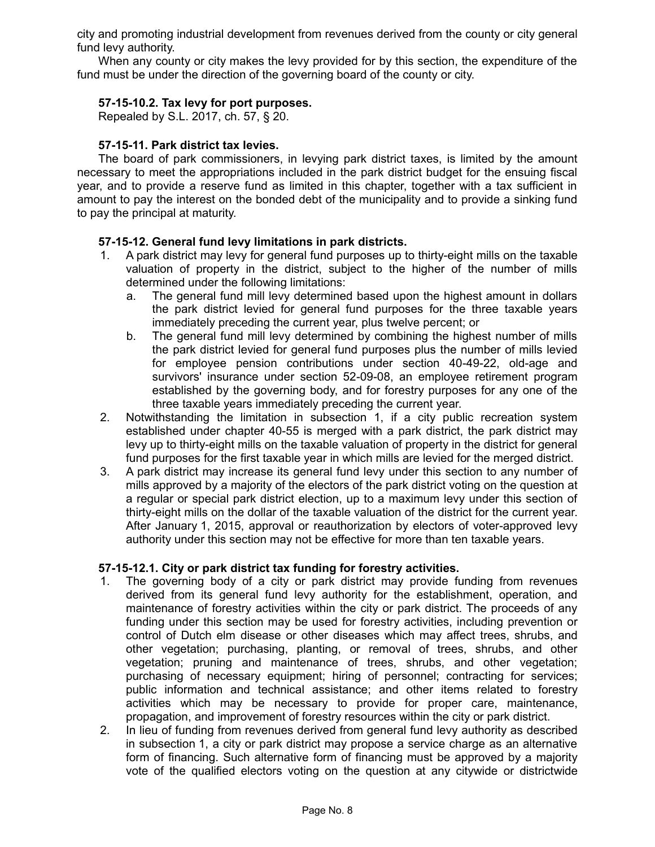city and promoting industrial development from revenues derived from the county or city general fund levy authority.

When any county or city makes the levy provided for by this section, the expenditure of the fund must be under the direction of the governing board of the county or city.

## **57-15-10.2. Tax levy for port purposes.**

Repealed by S.L. 2017, ch. 57, § 20.

## **57-15-11. Park district tax levies.**

The board of park commissioners, in levying park district taxes, is limited by the amount necessary to meet the appropriations included in the park district budget for the ensuing fiscal year, and to provide a reserve fund as limited in this chapter, together with a tax sufficient in amount to pay the interest on the bonded debt of the municipality and to provide a sinking fund to pay the principal at maturity.

## **57-15-12. General fund levy limitations in park districts.**

- 1. A park district may levy for general fund purposes up to thirty-eight mills on the taxable valuation of property in the district, subject to the higher of the number of mills determined under the following limitations:
	- a. The general fund mill levy determined based upon the highest amount in dollars the park district levied for general fund purposes for the three taxable years immediately preceding the current year, plus twelve percent; or
	- b. The general fund mill levy determined by combining the highest number of mills the park district levied for general fund purposes plus the number of mills levied for employee pension contributions under section 40-49-22, old-age and survivors' insurance under section 52-09-08, an employee retirement program established by the governing body, and for forestry purposes for any one of the three taxable years immediately preceding the current year.
- 2. Notwithstanding the limitation in subsection 1, if a city public recreation system established under chapter 40-55 is merged with a park district, the park district may levy up to thirty-eight mills on the taxable valuation of property in the district for general fund purposes for the first taxable year in which mills are levied for the merged district.
- 3. A park district may increase its general fund levy under this section to any number of mills approved by a majority of the electors of the park district voting on the question at a regular or special park district election, up to a maximum levy under this section of thirty-eight mills on the dollar of the taxable valuation of the district for the current year. After January 1, 2015, approval or reauthorization by electors of voter-approved levy authority under this section may not be effective for more than ten taxable years.

#### **57-15-12.1. City or park district tax funding for forestry activities.**

- 1. The governing body of a city or park district may provide funding from revenues derived from its general fund levy authority for the establishment, operation, and maintenance of forestry activities within the city or park district. The proceeds of any funding under this section may be used for forestry activities, including prevention or control of Dutch elm disease or other diseases which may affect trees, shrubs, and other vegetation; purchasing, planting, or removal of trees, shrubs, and other vegetation; pruning and maintenance of trees, shrubs, and other vegetation; purchasing of necessary equipment; hiring of personnel; contracting for services; public information and technical assistance; and other items related to forestry activities which may be necessary to provide for proper care, maintenance, propagation, and improvement of forestry resources within the city or park district.
- 2. In lieu of funding from revenues derived from general fund levy authority as described in subsection 1, a city or park district may propose a service charge as an alternative form of financing. Such alternative form of financing must be approved by a majority vote of the qualified electors voting on the question at any citywide or districtwide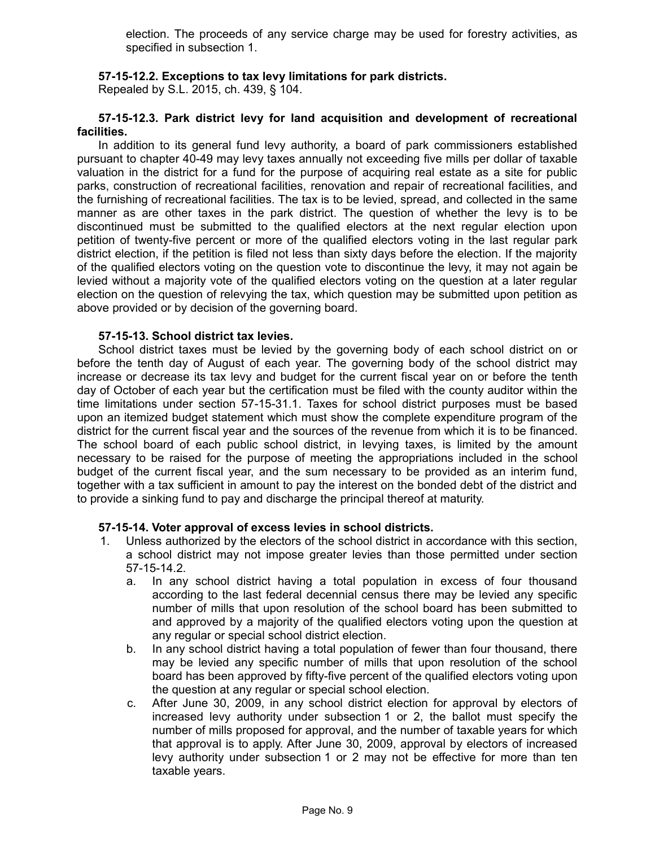election. The proceeds of any service charge may be used for forestry activities, as specified in subsection 1.

## **57-15-12.2. Exceptions to tax levy limitations for park districts.**

Repealed by S.L. 2015, ch. 439, § 104.

### **57-15-12.3. Park district levy for land acquisition and development of recreational facilities.**

In addition to its general fund levy authority, a board of park commissioners established pursuant to chapter 40-49 may levy taxes annually not exceeding five mills per dollar of taxable valuation in the district for a fund for the purpose of acquiring real estate as a site for public parks, construction of recreational facilities, renovation and repair of recreational facilities, and the furnishing of recreational facilities. The tax is to be levied, spread, and collected in the same manner as are other taxes in the park district. The question of whether the levy is to be discontinued must be submitted to the qualified electors at the next regular election upon petition of twenty-five percent or more of the qualified electors voting in the last regular park district election, if the petition is filed not less than sixty days before the election. If the majority of the qualified electors voting on the question vote to discontinue the levy, it may not again be levied without a majority vote of the qualified electors voting on the question at a later regular election on the question of relevying the tax, which question may be submitted upon petition as above provided or by decision of the governing board.

#### **57-15-13. School district tax levies.**

School district taxes must be levied by the governing body of each school district on or before the tenth day of August of each year. The governing body of the school district may increase or decrease its tax levy and budget for the current fiscal year on or before the tenth day of October of each year but the certification must be filed with the county auditor within the time limitations under section 57-15-31.1. Taxes for school district purposes must be based upon an itemized budget statement which must show the complete expenditure program of the district for the current fiscal year and the sources of the revenue from which it is to be financed. The school board of each public school district, in levying taxes, is limited by the amount necessary to be raised for the purpose of meeting the appropriations included in the school budget of the current fiscal year, and the sum necessary to be provided as an interim fund, together with a tax sufficient in amount to pay the interest on the bonded debt of the district and to provide a sinking fund to pay and discharge the principal thereof at maturity.

#### **57-15-14. Voter approval of excess levies in school districts.**

- 1. Unless authorized by the electors of the school district in accordance with this section, a school district may not impose greater levies than those permitted under section 57-15-14.2.
	- a. In any school district having a total population in excess of four thousand according to the last federal decennial census there may be levied any specific number of mills that upon resolution of the school board has been submitted to and approved by a majority of the qualified electors voting upon the question at any regular or special school district election.
	- b. In any school district having a total population of fewer than four thousand, there may be levied any specific number of mills that upon resolution of the school board has been approved by fifty-five percent of the qualified electors voting upon the question at any regular or special school election.
	- c. After June 30, 2009, in any school district election for approval by electors of increased levy authority under subsection 1 or 2, the ballot must specify the number of mills proposed for approval, and the number of taxable years for which that approval is to apply. After June 30, 2009, approval by electors of increased levy authority under subsection 1 or 2 may not be effective for more than ten taxable years.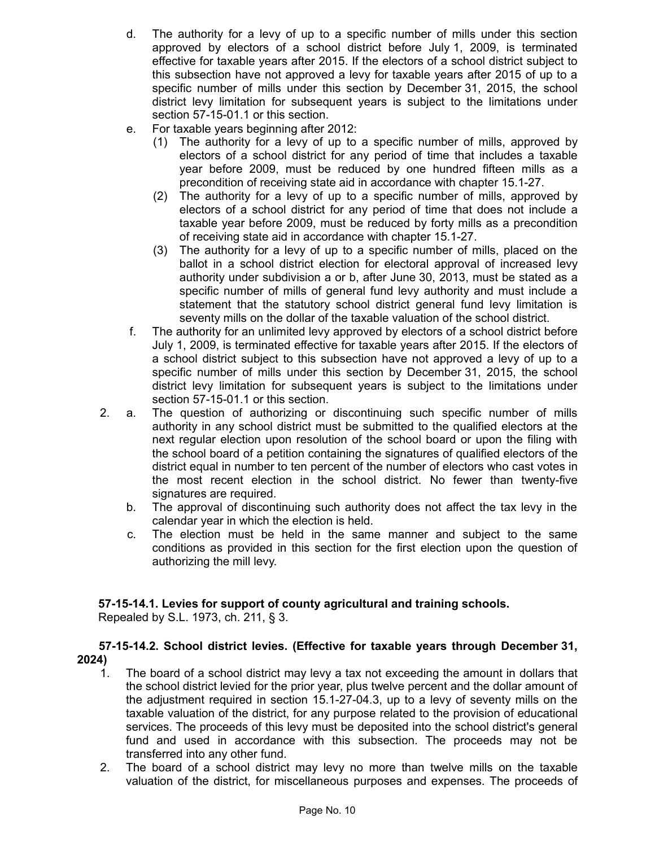- d. The authority for a levy of up to a specific number of mills under this section approved by electors of a school district before July 1, 2009, is terminated effective for taxable years after 2015. If the electors of a school district subject to this subsection have not approved a levy for taxable years after 2015 of up to a specific number of mills under this section by December 31, 2015, the school district levy limitation for subsequent years is subject to the limitations under section 57-15-01.1 or this section.
- e. For taxable years beginning after 2012:
	- (1) The authority for a levy of up to a specific number of mills, approved by electors of a school district for any period of time that includes a taxable year before 2009, must be reduced by one hundred fifteen mills as a precondition of receiving state aid in accordance with chapter 15.1-27.
	- (2) The authority for a levy of up to a specific number of mills, approved by electors of a school district for any period of time that does not include a taxable year before 2009, must be reduced by forty mills as a precondition of receiving state aid in accordance with chapter 15.1-27.
	- (3) The authority for a levy of up to a specific number of mills, placed on the ballot in a school district election for electoral approval of increased levy authority under subdivision a or b, after June 30, 2013, must be stated as a specific number of mills of general fund levy authority and must include a statement that the statutory school district general fund levy limitation is seventy mills on the dollar of the taxable valuation of the school district.
- f. The authority for an unlimited levy approved by electors of a school district before July 1, 2009, is terminated effective for taxable years after 2015. If the electors of a school district subject to this subsection have not approved a levy of up to a specific number of mills under this section by December 31, 2015, the school district levy limitation for subsequent years is subject to the limitations under section 57-15-01.1 or this section.
- 2. a. The question of authorizing or discontinuing such specific number of mills authority in any school district must be submitted to the qualified electors at the next regular election upon resolution of the school board or upon the filing with the school board of a petition containing the signatures of qualified electors of the district equal in number to ten percent of the number of electors who cast votes in the most recent election in the school district. No fewer than twenty-five signatures are required.
	- b. The approval of discontinuing such authority does not affect the tax levy in the calendar year in which the election is held.
	- c. The election must be held in the same manner and subject to the same conditions as provided in this section for the first election upon the question of authorizing the mill levy.

## **57-15-14.1. Levies for support of county agricultural and training schools.**

Repealed by S.L. 1973, ch. 211, § 3.

## **57-15-14.2. School district levies. (Effective for taxable years through December 31, 2024)**

- 1. The board of a school district may levy a tax not exceeding the amount in dollars that the school district levied for the prior year, plus twelve percent and the dollar amount of the adjustment required in section 15.1-27-04.3, up to a levy of seventy mills on the taxable valuation of the district, for any purpose related to the provision of educational services. The proceeds of this levy must be deposited into the school district's general fund and used in accordance with this subsection. The proceeds may not be transferred into any other fund.
- 2. The board of a school district may levy no more than twelve mills on the taxable valuation of the district, for miscellaneous purposes and expenses. The proceeds of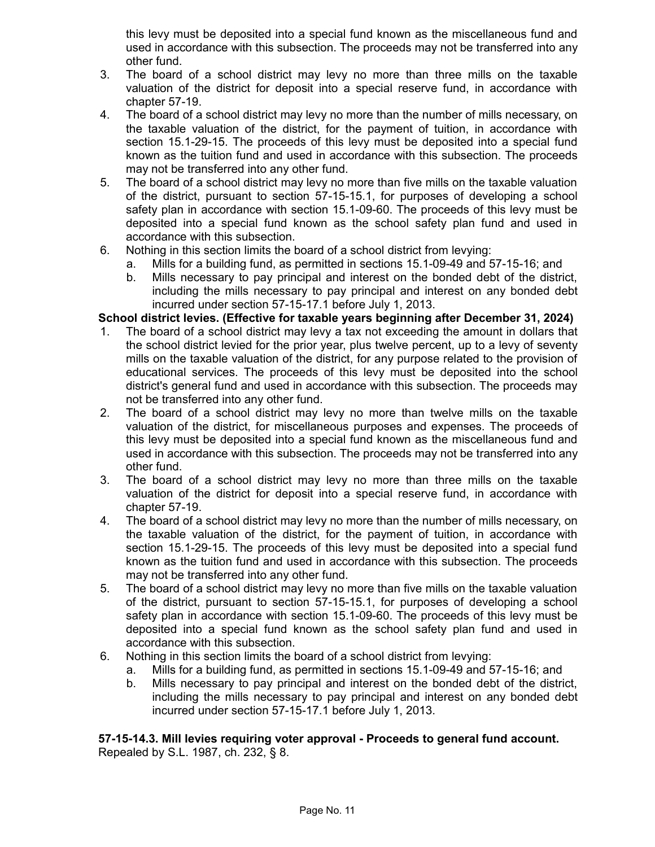this levy must be deposited into a special fund known as the miscellaneous fund and used in accordance with this subsection. The proceeds may not be transferred into any other fund.

- 3. The board of a school district may levy no more than three mills on the taxable valuation of the district for deposit into a special reserve fund, in accordance with chapter 57-19.
- 4. The board of a school district may levy no more than the number of mills necessary, on the taxable valuation of the district, for the payment of tuition, in accordance with section 15.1-29-15. The proceeds of this levy must be deposited into a special fund known as the tuition fund and used in accordance with this subsection. The proceeds may not be transferred into any other fund.
- 5. The board of a school district may levy no more than five mills on the taxable valuation of the district, pursuant to section 57-15-15.1, for purposes of developing a school safety plan in accordance with section 15.1-09-60. The proceeds of this levy must be deposited into a special fund known as the school safety plan fund and used in accordance with this subsection.
- 6. Nothing in this section limits the board of a school district from levying:
	- a. Mills for a building fund, as permitted in sections 15.1-09-49 and 57-15-16; and
	- b. Mills necessary to pay principal and interest on the bonded debt of the district, including the mills necessary to pay principal and interest on any bonded debt incurred under section 57-15-17.1 before July 1, 2013.

## **School district levies. (Effective for taxable years beginning after December 31, 2024)**

- 1. The board of a school district may levy a tax not exceeding the amount in dollars that the school district levied for the prior year, plus twelve percent, up to a levy of seventy mills on the taxable valuation of the district, for any purpose related to the provision of educational services. The proceeds of this levy must be deposited into the school district's general fund and used in accordance with this subsection. The proceeds may not be transferred into any other fund.
- 2. The board of a school district may levy no more than twelve mills on the taxable valuation of the district, for miscellaneous purposes and expenses. The proceeds of this levy must be deposited into a special fund known as the miscellaneous fund and used in accordance with this subsection. The proceeds may not be transferred into any other fund.
- 3. The board of a school district may levy no more than three mills on the taxable valuation of the district for deposit into a special reserve fund, in accordance with chapter 57-19.
- 4. The board of a school district may levy no more than the number of mills necessary, on the taxable valuation of the district, for the payment of tuition, in accordance with section 15.1-29-15. The proceeds of this levy must be deposited into a special fund known as the tuition fund and used in accordance with this subsection. The proceeds may not be transferred into any other fund.
- 5. The board of a school district may levy no more than five mills on the taxable valuation of the district, pursuant to section 57-15-15.1, for purposes of developing a school safety plan in accordance with section 15.1-09-60. The proceeds of this levy must be deposited into a special fund known as the school safety plan fund and used in accordance with this subsection.
- 6. Nothing in this section limits the board of a school district from levying:
	- a. Mills for a building fund, as permitted in sections 15.1-09-49 and 57-15-16; and
	- b. Mills necessary to pay principal and interest on the bonded debt of the district, including the mills necessary to pay principal and interest on any bonded debt incurred under section 57-15-17.1 before July 1, 2013.

## **57-15-14.3. Mill levies requiring voter approval - Proceeds to general fund account.** Repealed by S.L. 1987, ch. 232, § 8.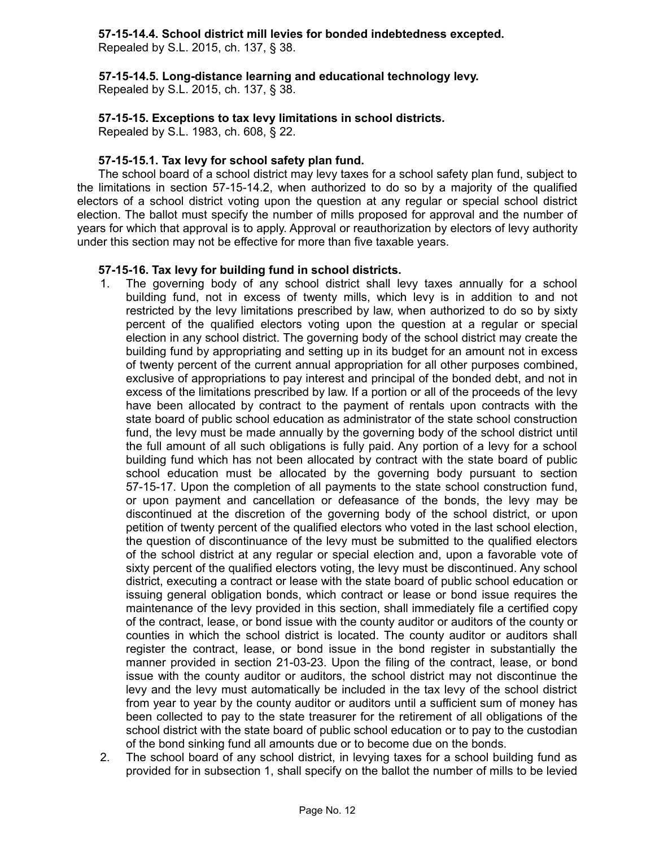## **57-15-14.4. School district mill levies for bonded indebtedness excepted.**

Repealed by S.L. 2015, ch. 137, § 38.

**57-15-14.5. Long-distance learning and educational technology levy.**

Repealed by S.L. 2015, ch. 137, § 38.

## **57-15-15. Exceptions to tax levy limitations in school districts.**

Repealed by S.L. 1983, ch. 608, § 22.

## **57-15-15.1. Tax levy for school safety plan fund.**

The school board of a school district may levy taxes for a school safety plan fund, subject to the limitations in section 57-15-14.2, when authorized to do so by a majority of the qualified electors of a school district voting upon the question at any regular or special school district election. The ballot must specify the number of mills proposed for approval and the number of years for which that approval is to apply. Approval or reauthorization by electors of levy authority under this section may not be effective for more than five taxable years.

## **57-15-16. Tax levy for building fund in school districts.**

- 1. The governing body of any school district shall levy taxes annually for a school building fund, not in excess of twenty mills, which levy is in addition to and not restricted by the levy limitations prescribed by law, when authorized to do so by sixty percent of the qualified electors voting upon the question at a regular or special election in any school district. The governing body of the school district may create the building fund by appropriating and setting up in its budget for an amount not in excess of twenty percent of the current annual appropriation for all other purposes combined, exclusive of appropriations to pay interest and principal of the bonded debt, and not in excess of the limitations prescribed by law. If a portion or all of the proceeds of the levy have been allocated by contract to the payment of rentals upon contracts with the state board of public school education as administrator of the state school construction fund, the levy must be made annually by the governing body of the school district until the full amount of all such obligations is fully paid. Any portion of a levy for a school building fund which has not been allocated by contract with the state board of public school education must be allocated by the governing body pursuant to section 57-15-17. Upon the completion of all payments to the state school construction fund, or upon payment and cancellation or defeasance of the bonds, the levy may be discontinued at the discretion of the governing body of the school district, or upon petition of twenty percent of the qualified electors who voted in the last school election, the question of discontinuance of the levy must be submitted to the qualified electors of the school district at any regular or special election and, upon a favorable vote of sixty percent of the qualified electors voting, the levy must be discontinued. Any school district, executing a contract or lease with the state board of public school education or issuing general obligation bonds, which contract or lease or bond issue requires the maintenance of the levy provided in this section, shall immediately file a certified copy of the contract, lease, or bond issue with the county auditor or auditors of the county or counties in which the school district is located. The county auditor or auditors shall register the contract, lease, or bond issue in the bond register in substantially the manner provided in section 21-03-23. Upon the filing of the contract, lease, or bond issue with the county auditor or auditors, the school district may not discontinue the levy and the levy must automatically be included in the tax levy of the school district from year to year by the county auditor or auditors until a sufficient sum of money has been collected to pay to the state treasurer for the retirement of all obligations of the school district with the state board of public school education or to pay to the custodian of the bond sinking fund all amounts due or to become due on the bonds.
- 2. The school board of any school district, in levying taxes for a school building fund as provided for in subsection 1, shall specify on the ballot the number of mills to be levied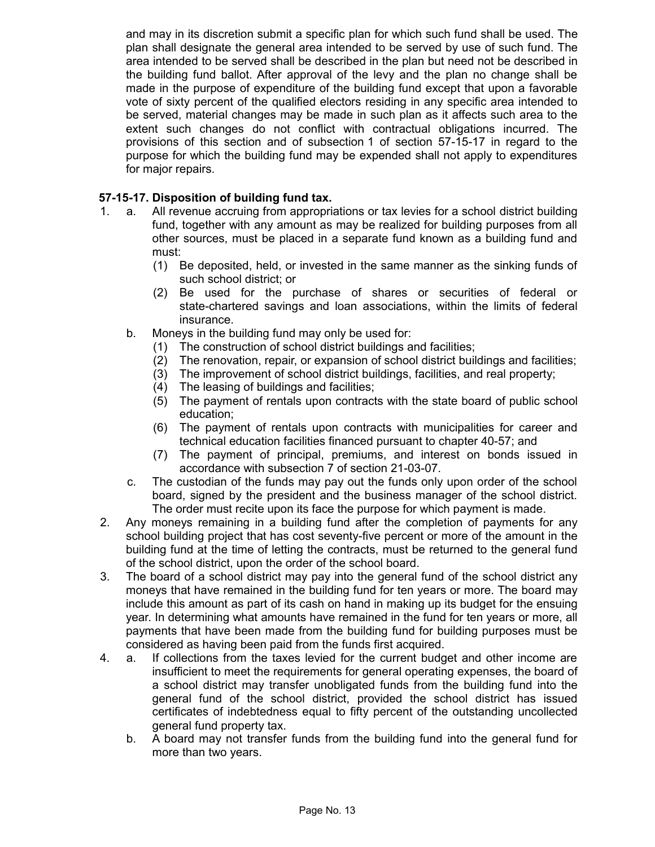and may in its discretion submit a specific plan for which such fund shall be used. The plan shall designate the general area intended to be served by use of such fund. The area intended to be served shall be described in the plan but need not be described in the building fund ballot. After approval of the levy and the plan no change shall be made in the purpose of expenditure of the building fund except that upon a favorable vote of sixty percent of the qualified electors residing in any specific area intended to be served, material changes may be made in such plan as it affects such area to the extent such changes do not conflict with contractual obligations incurred. The provisions of this section and of subsection 1 of section 57-15-17 in regard to the purpose for which the building fund may be expended shall not apply to expenditures for major repairs.

## **57-15-17. Disposition of building fund tax.**

- 1. a. All revenue accruing from appropriations or tax levies for a school district building fund, together with any amount as may be realized for building purposes from all other sources, must be placed in a separate fund known as a building fund and must:
	- (1) Be deposited, held, or invested in the same manner as the sinking funds of such school district; or
	- (2) Be used for the purchase of shares or securities of federal or state-chartered savings and loan associations, within the limits of federal insurance.
	- b. Moneys in the building fund may only be used for:
		- (1) The construction of school district buildings and facilities;
		- (2) The renovation, repair, or expansion of school district buildings and facilities;
		- (3) The improvement of school district buildings, facilities, and real property;
		- (4) The leasing of buildings and facilities;
		- (5) The payment of rentals upon contracts with the state board of public school education;
		- (6) The payment of rentals upon contracts with municipalities for career and technical education facilities financed pursuant to chapter 40-57; and
		- (7) The payment of principal, premiums, and interest on bonds issued in accordance with subsection 7 of section 21-03-07.
	- c. The custodian of the funds may pay out the funds only upon order of the school board, signed by the president and the business manager of the school district. The order must recite upon its face the purpose for which payment is made.
- 2. Any moneys remaining in a building fund after the completion of payments for any school building project that has cost seventy-five percent or more of the amount in the building fund at the time of letting the contracts, must be returned to the general fund of the school district, upon the order of the school board.
- 3. The board of a school district may pay into the general fund of the school district any moneys that have remained in the building fund for ten years or more. The board may include this amount as part of its cash on hand in making up its budget for the ensuing year. In determining what amounts have remained in the fund for ten years or more, all payments that have been made from the building fund for building purposes must be considered as having been paid from the funds first acquired.
- 4. a. If collections from the taxes levied for the current budget and other income are insufficient to meet the requirements for general operating expenses, the board of a school district may transfer unobligated funds from the building fund into the general fund of the school district, provided the school district has issued certificates of indebtedness equal to fifty percent of the outstanding uncollected general fund property tax.
	- b. A board may not transfer funds from the building fund into the general fund for more than two years.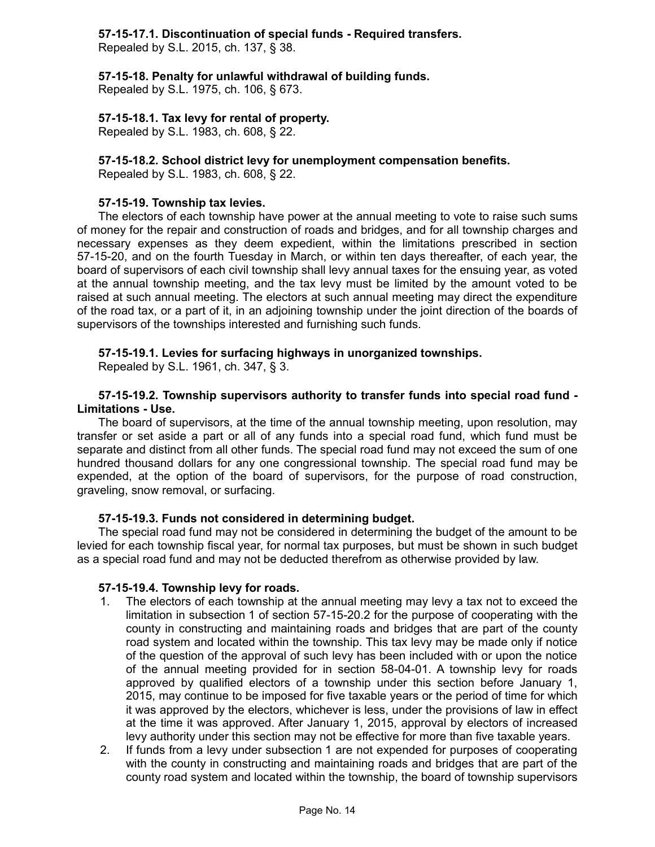## **57-15-17.1. Discontinuation of special funds - Required transfers.**

Repealed by S.L. 2015, ch. 137, § 38.

**57-15-18. Penalty for unlawful withdrawal of building funds.**

Repealed by S.L. 1975, ch. 106, § 673.

## **57-15-18.1. Tax levy for rental of property.**

Repealed by S.L. 1983, ch. 608, § 22.

## **57-15-18.2. School district levy for unemployment compensation benefits.**

Repealed by S.L. 1983, ch. 608, § 22.

## **57-15-19. Township tax levies.**

The electors of each township have power at the annual meeting to vote to raise such sums of money for the repair and construction of roads and bridges, and for all township charges and necessary expenses as they deem expedient, within the limitations prescribed in section 57-15-20, and on the fourth Tuesday in March, or within ten days thereafter, of each year, the board of supervisors of each civil township shall levy annual taxes for the ensuing year, as voted at the annual township meeting, and the tax levy must be limited by the amount voted to be raised at such annual meeting. The electors at such annual meeting may direct the expenditure of the road tax, or a part of it, in an adjoining township under the joint direction of the boards of supervisors of the townships interested and furnishing such funds.

## **57-15-19.1. Levies for surfacing highways in unorganized townships.**

Repealed by S.L. 1961, ch. 347, § 3.

## **57-15-19.2. Township supervisors authority to transfer funds into special road fund - Limitations - Use.**

The board of supervisors, at the time of the annual township meeting, upon resolution, may transfer or set aside a part or all of any funds into a special road fund, which fund must be separate and distinct from all other funds. The special road fund may not exceed the sum of one hundred thousand dollars for any one congressional township. The special road fund may be expended, at the option of the board of supervisors, for the purpose of road construction, graveling, snow removal, or surfacing.

## **57-15-19.3. Funds not considered in determining budget.**

The special road fund may not be considered in determining the budget of the amount to be levied for each township fiscal year, for normal tax purposes, but must be shown in such budget as a special road fund and may not be deducted therefrom as otherwise provided by law.

## **57-15-19.4. Township levy for roads.**

- 1. The electors of each township at the annual meeting may levy a tax not to exceed the limitation in subsection 1 of section 57-15-20.2 for the purpose of cooperating with the county in constructing and maintaining roads and bridges that are part of the county road system and located within the township. This tax levy may be made only if notice of the question of the approval of such levy has been included with or upon the notice of the annual meeting provided for in section 58-04-01. A township levy for roads approved by qualified electors of a township under this section before January 1, 2015, may continue to be imposed for five taxable years or the period of time for which it was approved by the electors, whichever is less, under the provisions of law in effect at the time it was approved. After January 1, 2015, approval by electors of increased levy authority under this section may not be effective for more than five taxable years.
- 2. If funds from a levy under subsection 1 are not expended for purposes of cooperating with the county in constructing and maintaining roads and bridges that are part of the county road system and located within the township, the board of township supervisors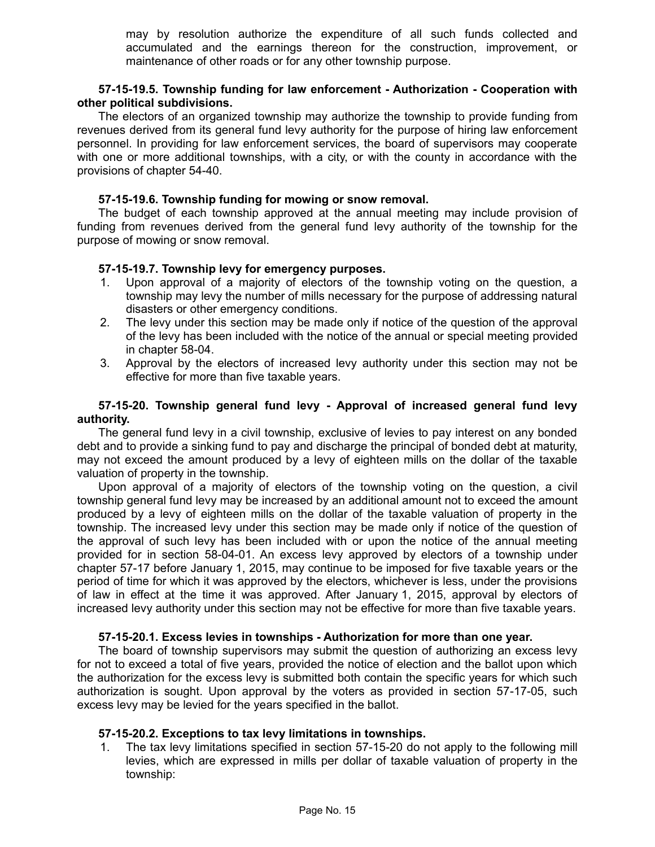may by resolution authorize the expenditure of all such funds collected and accumulated and the earnings thereon for the construction, improvement, or maintenance of other roads or for any other township purpose.

#### **57-15-19.5. Township funding for law enforcement - Authorization - Cooperation with other political subdivisions.**

The electors of an organized township may authorize the township to provide funding from revenues derived from its general fund levy authority for the purpose of hiring law enforcement personnel. In providing for law enforcement services, the board of supervisors may cooperate with one or more additional townships, with a city, or with the county in accordance with the provisions of chapter 54-40.

### **57-15-19.6. Township funding for mowing or snow removal.**

The budget of each township approved at the annual meeting may include provision of funding from revenues derived from the general fund levy authority of the township for the purpose of mowing or snow removal.

## **57-15-19.7. Township levy for emergency purposes.**

- 1. Upon approval of a majority of electors of the township voting on the question, a township may levy the number of mills necessary for the purpose of addressing natural disasters or other emergency conditions.
- 2. The levy under this section may be made only if notice of the question of the approval of the levy has been included with the notice of the annual or special meeting provided in chapter 58-04.
- 3. Approval by the electors of increased levy authority under this section may not be effective for more than five taxable years.

## **57-15-20. Township general fund levy - Approval of increased general fund levy authority.**

The general fund levy in a civil township, exclusive of levies to pay interest on any bonded debt and to provide a sinking fund to pay and discharge the principal of bonded debt at maturity, may not exceed the amount produced by a levy of eighteen mills on the dollar of the taxable valuation of property in the township.

Upon approval of a majority of electors of the township voting on the question, a civil township general fund levy may be increased by an additional amount not to exceed the amount produced by a levy of eighteen mills on the dollar of the taxable valuation of property in the township. The increased levy under this section may be made only if notice of the question of the approval of such levy has been included with or upon the notice of the annual meeting provided for in section 58-04-01. An excess levy approved by electors of a township under chapter 57-17 before January 1, 2015, may continue to be imposed for five taxable years or the period of time for which it was approved by the electors, whichever is less, under the provisions of law in effect at the time it was approved. After January 1, 2015, approval by electors of increased levy authority under this section may not be effective for more than five taxable years.

#### **57-15-20.1. Excess levies in townships - Authorization for more than one year.**

The board of township supervisors may submit the question of authorizing an excess levy for not to exceed a total of five years, provided the notice of election and the ballot upon which the authorization for the excess levy is submitted both contain the specific years for which such authorization is sought. Upon approval by the voters as provided in section 57-17-05, such excess levy may be levied for the years specified in the ballot.

#### **57-15-20.2. Exceptions to tax levy limitations in townships.**

1. The tax levy limitations specified in section 57-15-20 do not apply to the following mill levies, which are expressed in mills per dollar of taxable valuation of property in the township: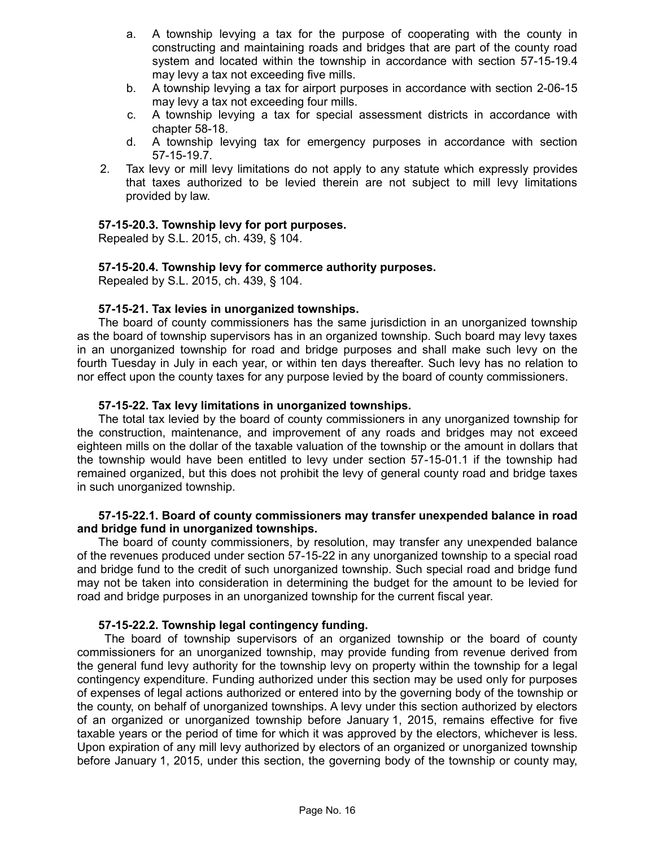- a. A township levying a tax for the purpose of cooperating with the county in constructing and maintaining roads and bridges that are part of the county road system and located within the township in accordance with section 57-15-19.4 may levy a tax not exceeding five mills.
- b. A township levying a tax for airport purposes in accordance with section 2-06-15 may levy a tax not exceeding four mills.
- c. A township levying a tax for special assessment districts in accordance with chapter 58-18.
- d. A township levying tax for emergency purposes in accordance with section 57-15-19.7.
- 2. Tax levy or mill levy limitations do not apply to any statute which expressly provides that taxes authorized to be levied therein are not subject to mill levy limitations provided by law.

## **57-15-20.3. Township levy for port purposes.**

Repealed by S.L. 2015, ch. 439, § 104.

## **57-15-20.4. Township levy for commerce authority purposes.**

Repealed by S.L. 2015, ch. 439, § 104.

## **57-15-21. Tax levies in unorganized townships.**

The board of county commissioners has the same jurisdiction in an unorganized township as the board of township supervisors has in an organized township. Such board may levy taxes in an unorganized township for road and bridge purposes and shall make such levy on the fourth Tuesday in July in each year, or within ten days thereafter. Such levy has no relation to nor effect upon the county taxes for any purpose levied by the board of county commissioners.

## **57-15-22. Tax levy limitations in unorganized townships.**

The total tax levied by the board of county commissioners in any unorganized township for the construction, maintenance, and improvement of any roads and bridges may not exceed eighteen mills on the dollar of the taxable valuation of the township or the amount in dollars that the township would have been entitled to levy under section 57-15-01.1 if the township had remained organized, but this does not prohibit the levy of general county road and bridge taxes in such unorganized township.

#### **57-15-22.1. Board of county commissioners may transfer unexpended balance in road and bridge fund in unorganized townships.**

The board of county commissioners, by resolution, may transfer any unexpended balance of the revenues produced under section 57-15-22 in any unorganized township to a special road and bridge fund to the credit of such unorganized township. Such special road and bridge fund may not be taken into consideration in determining the budget for the amount to be levied for road and bridge purposes in an unorganized township for the current fiscal year.

#### **57-15-22.2. Township legal contingency funding.**

The board of township supervisors of an organized township or the board of county commissioners for an unorganized township, may provide funding from revenue derived from the general fund levy authority for the township levy on property within the township for a legal contingency expenditure. Funding authorized under this section may be used only for purposes of expenses of legal actions authorized or entered into by the governing body of the township or the county, on behalf of unorganized townships. A levy under this section authorized by electors of an organized or unorganized township before January 1, 2015, remains effective for five taxable years or the period of time for which it was approved by the electors, whichever is less. Upon expiration of any mill levy authorized by electors of an organized or unorganized township before January 1, 2015, under this section, the governing body of the township or county may,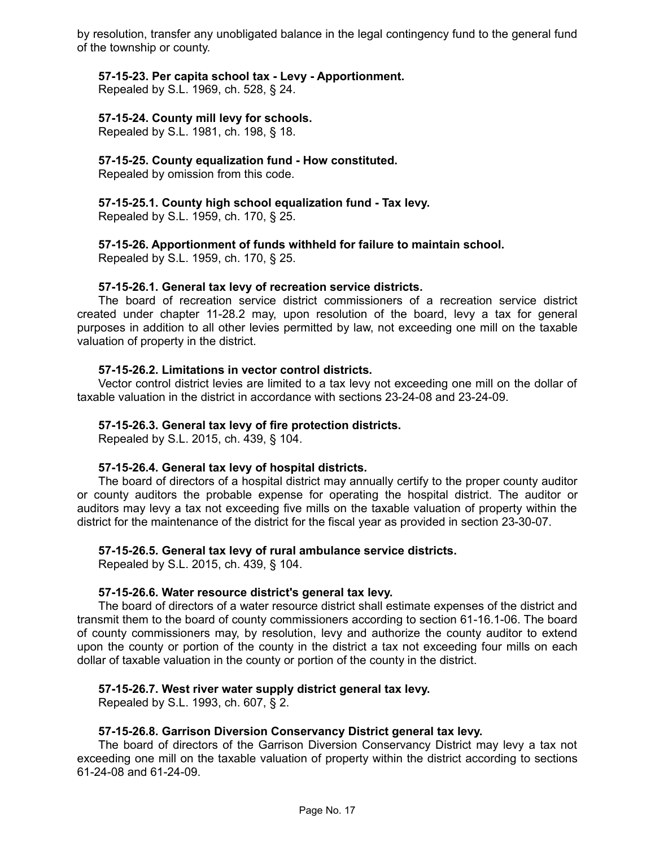by resolution, transfer any unobligated balance in the legal contingency fund to the general fund of the township or county.

## **57-15-23. Per capita school tax - Levy - Apportionment.**

Repealed by S.L. 1969, ch. 528, § 24.

## **57-15-24. County mill levy for schools.**

Repealed by S.L. 1981, ch. 198, § 18.

## **57-15-25. County equalization fund - How constituted.**

Repealed by omission from this code.

**57-15-25.1. County high school equalization fund - Tax levy.** Repealed by S.L. 1959, ch. 170, § 25.

## **57-15-26. Apportionment of funds withheld for failure to maintain school.**

Repealed by S.L. 1959, ch. 170, § 25.

#### **57-15-26.1. General tax levy of recreation service districts.**

The board of recreation service district commissioners of a recreation service district created under chapter 11-28.2 may, upon resolution of the board, levy a tax for general purposes in addition to all other levies permitted by law, not exceeding one mill on the taxable valuation of property in the district.

#### **57-15-26.2. Limitations in vector control districts.**

Vector control district levies are limited to a tax levy not exceeding one mill on the dollar of taxable valuation in the district in accordance with sections 23-24-08 and 23-24-09.

### **57-15-26.3. General tax levy of fire protection districts.**

Repealed by S.L. 2015, ch. 439, § 104.

#### **57-15-26.4. General tax levy of hospital districts.**

The board of directors of a hospital district may annually certify to the proper county auditor or county auditors the probable expense for operating the hospital district. The auditor or auditors may levy a tax not exceeding five mills on the taxable valuation of property within the district for the maintenance of the district for the fiscal year as provided in section 23-30-07.

#### **57-15-26.5. General tax levy of rural ambulance service districts.**

Repealed by S.L. 2015, ch. 439, § 104.

#### **57-15-26.6. Water resource district's general tax levy.**

The board of directors of a water resource district shall estimate expenses of the district and transmit them to the board of county commissioners according to section 61-16.1-06. The board of county commissioners may, by resolution, levy and authorize the county auditor to extend upon the county or portion of the county in the district a tax not exceeding four mills on each dollar of taxable valuation in the county or portion of the county in the district.

#### **57-15-26.7. West river water supply district general tax levy.**

Repealed by S.L. 1993, ch. 607, § 2.

## **57-15-26.8. Garrison Diversion Conservancy District general tax levy.**

The board of directors of the Garrison Diversion Conservancy District may levy a tax not exceeding one mill on the taxable valuation of property within the district according to sections 61-24-08 and 61-24-09.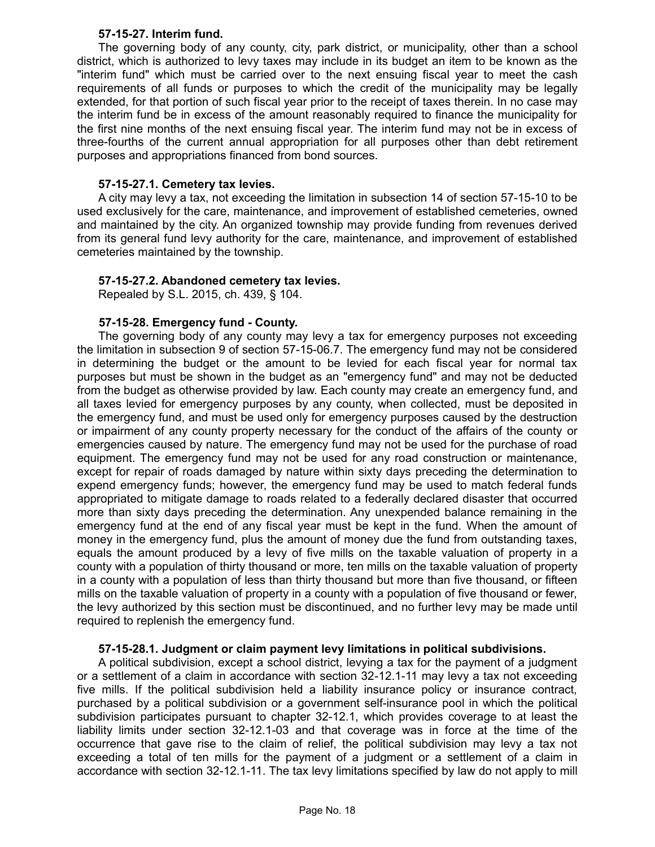## **57-15-27. Interim fund.**

The governing body of any county, city, park district, or municipality, other than a school district, which is authorized to levy taxes may include in its budget an item to be known as the "interim fund" which must be carried over to the next ensuing fiscal year to meet the cash requirements of all funds or purposes to which the credit of the municipality may be legally extended, for that portion of such fiscal year prior to the receipt of taxes therein. In no case may the interim fund be in excess of the amount reasonably required to finance the municipality for the first nine months of the next ensuing fiscal year. The interim fund may not be in excess of three-fourths of the current annual appropriation for all purposes other than debt retirement purposes and appropriations financed from bond sources.

### **57-15-27.1. Cemetery tax levies.**

A city may levy a tax, not exceeding the limitation in subsection 14 of section 57-15-10 to be used exclusively for the care, maintenance, and improvement of established cemeteries, owned and maintained by the city. An organized township may provide funding from revenues derived from its general fund levy authority for the care, maintenance, and improvement of established cemeteries maintained by the township.

## **57-15-27.2. Abandoned cemetery tax levies.**

Repealed by S.L. 2015, ch. 439, § 104.

## **57-15-28. Emergency fund - County.**

The governing body of any county may levy a tax for emergency purposes not exceeding the limitation in subsection 9 of section 57-15-06.7. The emergency fund may not be considered in determining the budget or the amount to be levied for each fiscal year for normal tax purposes but must be shown in the budget as an "emergency fund" and may not be deducted from the budget as otherwise provided by law. Each county may create an emergency fund, and all taxes levied for emergency purposes by any county, when collected, must be deposited in the emergency fund, and must be used only for emergency purposes caused by the destruction or impairment of any county property necessary for the conduct of the affairs of the county or emergencies caused by nature. The emergency fund may not be used for the purchase of road equipment. The emergency fund may not be used for any road construction or maintenance, except for repair of roads damaged by nature within sixty days preceding the determination to expend emergency funds; however, the emergency fund may be used to match federal funds appropriated to mitigate damage to roads related to a federally declared disaster that occurred more than sixty days preceding the determination. Any unexpended balance remaining in the emergency fund at the end of any fiscal year must be kept in the fund. When the amount of money in the emergency fund, plus the amount of money due the fund from outstanding taxes, equals the amount produced by a levy of five mills on the taxable valuation of property in a county with a population of thirty thousand or more, ten mills on the taxable valuation of property in a county with a population of less than thirty thousand but more than five thousand, or fifteen mills on the taxable valuation of property in a county with a population of five thousand or fewer, the levy authorized by this section must be discontinued, and no further levy may be made until required to replenish the emergency fund.

## **57-15-28.1. Judgment or claim payment levy limitations in political subdivisions.**

A political subdivision, except a school district, levying a tax for the payment of a judgment or a settlement of a claim in accordance with section 32-12.1-11 may levy a tax not exceeding five mills. If the political subdivision held a liability insurance policy or insurance contract, purchased by a political subdivision or a government self-insurance pool in which the political subdivision participates pursuant to chapter 32-12.1, which provides coverage to at least the liability limits under section 32-12.1-03 and that coverage was in force at the time of the occurrence that gave rise to the claim of relief, the political subdivision may levy a tax not exceeding a total of ten mills for the payment of a judgment or a settlement of a claim in accordance with section 32-12.1-11. The tax levy limitations specified by law do not apply to mill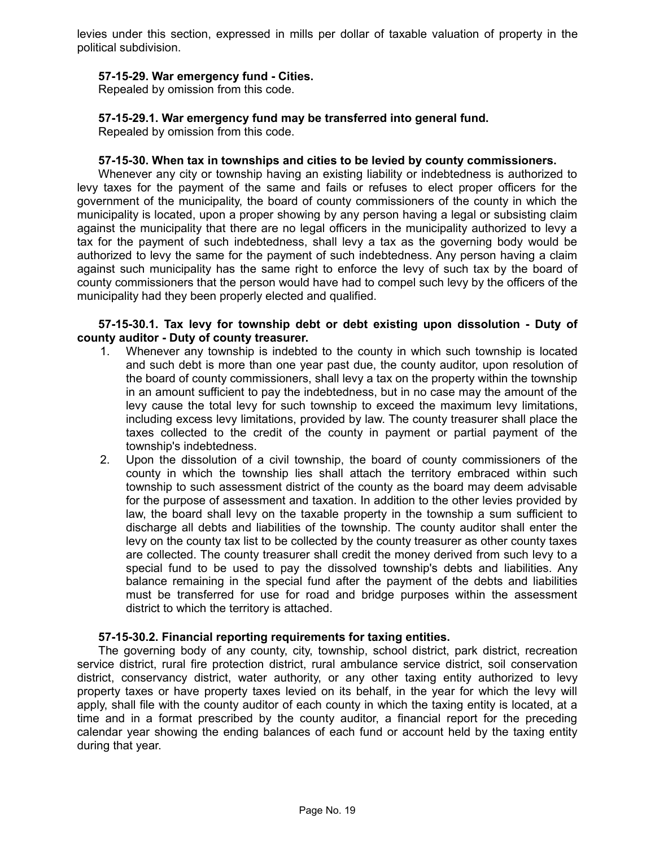levies under this section, expressed in mills per dollar of taxable valuation of property in the political subdivision.

### **57-15-29. War emergency fund - Cities.**

Repealed by omission from this code.

## **57-15-29.1. War emergency fund may be transferred into general fund.**

Repealed by omission from this code.

#### **57-15-30. When tax in townships and cities to be levied by county commissioners.**

Whenever any city or township having an existing liability or indebtedness is authorized to levy taxes for the payment of the same and fails or refuses to elect proper officers for the government of the municipality, the board of county commissioners of the county in which the municipality is located, upon a proper showing by any person having a legal or subsisting claim against the municipality that there are no legal officers in the municipality authorized to levy a tax for the payment of such indebtedness, shall levy a tax as the governing body would be authorized to levy the same for the payment of such indebtedness. Any person having a claim against such municipality has the same right to enforce the levy of such tax by the board of county commissioners that the person would have had to compel such levy by the officers of the municipality had they been properly elected and qualified.

#### **57-15-30.1. Tax levy for township debt or debt existing upon dissolution - Duty of county auditor - Duty of county treasurer.**

- 1. Whenever any township is indebted to the county in which such township is located and such debt is more than one year past due, the county auditor, upon resolution of the board of county commissioners, shall levy a tax on the property within the township in an amount sufficient to pay the indebtedness, but in no case may the amount of the levy cause the total levy for such township to exceed the maximum levy limitations, including excess levy limitations, provided by law. The county treasurer shall place the taxes collected to the credit of the county in payment or partial payment of the township's indebtedness.
- 2. Upon the dissolution of a civil township, the board of county commissioners of the county in which the township lies shall attach the territory embraced within such township to such assessment district of the county as the board may deem advisable for the purpose of assessment and taxation. In addition to the other levies provided by law, the board shall levy on the taxable property in the township a sum sufficient to discharge all debts and liabilities of the township. The county auditor shall enter the levy on the county tax list to be collected by the county treasurer as other county taxes are collected. The county treasurer shall credit the money derived from such levy to a special fund to be used to pay the dissolved township's debts and liabilities. Any balance remaining in the special fund after the payment of the debts and liabilities must be transferred for use for road and bridge purposes within the assessment district to which the territory is attached.

#### **57-15-30.2. Financial reporting requirements for taxing entities.**

The governing body of any county, city, township, school district, park district, recreation service district, rural fire protection district, rural ambulance service district, soil conservation district, conservancy district, water authority, or any other taxing entity authorized to levy property taxes or have property taxes levied on its behalf, in the year for which the levy will apply, shall file with the county auditor of each county in which the taxing entity is located, at a time and in a format prescribed by the county auditor, a financial report for the preceding calendar year showing the ending balances of each fund or account held by the taxing entity during that year.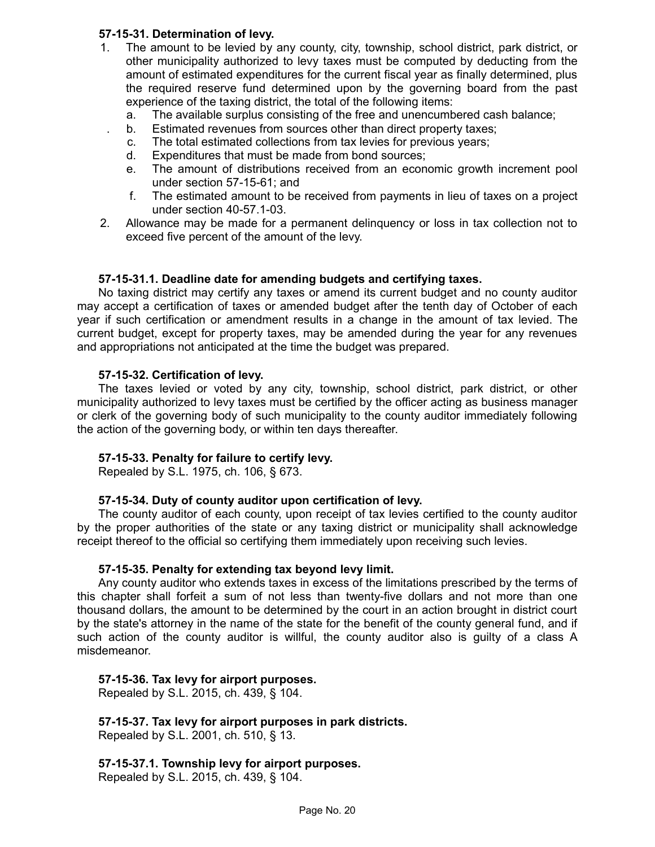## **57-15-31. Determination of levy.**

- 1. The amount to be levied by any county, city, township, school district, park district, or other municipality authorized to levy taxes must be computed by deducting from the amount of estimated expenditures for the current fiscal year as finally determined, plus the required reserve fund determined upon by the governing board from the past experience of the taxing district, the total of the following items:
	- a. The available surplus consisting of the free and unencumbered cash balance;
	- b. Estimated revenues from sources other than direct property taxes;
	- c. The total estimated collections from tax levies for previous years;
	- d. Expenditures that must be made from bond sources;
	- e. The amount of distributions received from an economic growth increment pool under section 57-15-61; and
	- f. The estimated amount to be received from payments in lieu of taxes on a project under section 40-57.1-03.
- 2. Allowance may be made for a permanent delinquency or loss in tax collection not to exceed five percent of the amount of the levy.

## **57-15-31.1. Deadline date for amending budgets and certifying taxes.**

No taxing district may certify any taxes or amend its current budget and no county auditor may accept a certification of taxes or amended budget after the tenth day of October of each year if such certification or amendment results in a change in the amount of tax levied. The current budget, except for property taxes, may be amended during the year for any revenues and appropriations not anticipated at the time the budget was prepared.

## **57-15-32. Certification of levy.**

The taxes levied or voted by any city, township, school district, park district, or other municipality authorized to levy taxes must be certified by the officer acting as business manager or clerk of the governing body of such municipality to the county auditor immediately following the action of the governing body, or within ten days thereafter.

#### **57-15-33. Penalty for failure to certify levy.**

Repealed by S.L. 1975, ch. 106, § 673.

#### **57-15-34. Duty of county auditor upon certification of levy.**

The county auditor of each county, upon receipt of tax levies certified to the county auditor by the proper authorities of the state or any taxing district or municipality shall acknowledge receipt thereof to the official so certifying them immediately upon receiving such levies.

#### **57-15-35. Penalty for extending tax beyond levy limit.**

Any county auditor who extends taxes in excess of the limitations prescribed by the terms of this chapter shall forfeit a sum of not less than twenty-five dollars and not more than one thousand dollars, the amount to be determined by the court in an action brought in district court by the state's attorney in the name of the state for the benefit of the county general fund, and if such action of the county auditor is willful, the county auditor also is guilty of a class A misdemeanor.

#### **57-15-36. Tax levy for airport purposes.**

Repealed by S.L. 2015, ch. 439, § 104.

## **57-15-37. Tax levy for airport purposes in park districts.**

Repealed by S.L. 2001, ch. 510, § 13.

## **57-15-37.1. Township levy for airport purposes.**

Repealed by S.L. 2015, ch. 439, § 104.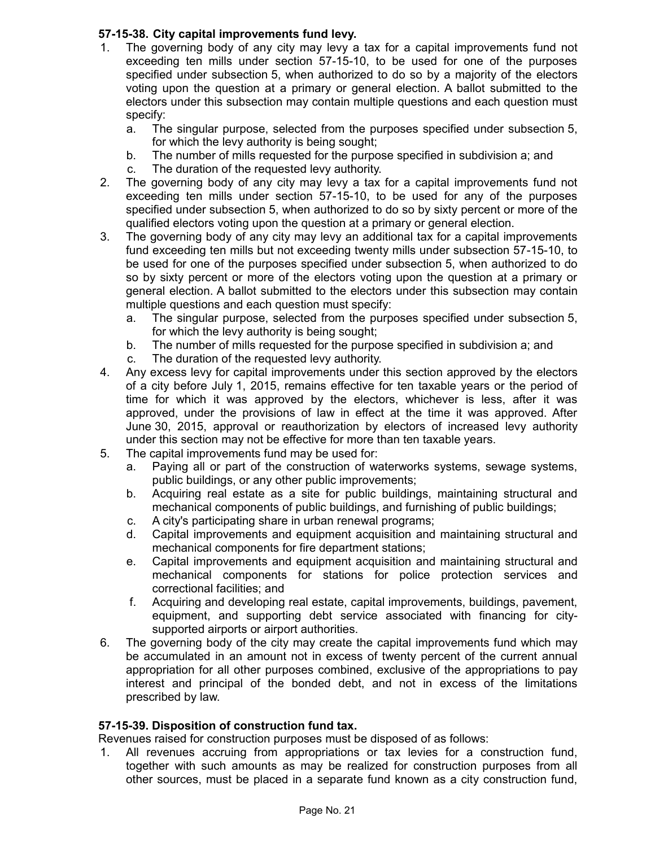## **57-15-38. City capital improvements fund levy.**

- 1. The governing body of any city may levy a tax for a capital improvements fund not exceeding ten mills under section 57-15-10, to be used for one of the purposes specified under subsection 5, when authorized to do so by a majority of the electors voting upon the question at a primary or general election. A ballot submitted to the electors under this subsection may contain multiple questions and each question must specify:
	- a. The singular purpose, selected from the purposes specified under subsection 5, for which the levy authority is being sought;
	- b. The number of mills requested for the purpose specified in subdivision a; and
	- c. The duration of the requested levy authority.
- 2. The governing body of any city may levy a tax for a capital improvements fund not exceeding ten mills under section 57-15-10, to be used for any of the purposes specified under subsection 5, when authorized to do so by sixty percent or more of the qualified electors voting upon the question at a primary or general election.
- 3. The governing body of any city may levy an additional tax for a capital improvements fund exceeding ten mills but not exceeding twenty mills under subsection 57-15-10, to be used for one of the purposes specified under subsection 5, when authorized to do so by sixty percent or more of the electors voting upon the question at a primary or general election. A ballot submitted to the electors under this subsection may contain multiple questions and each question must specify:
	- a. The singular purpose, selected from the purposes specified under subsection 5, for which the levy authority is being sought;
	- b. The number of mills requested for the purpose specified in subdivision a; and
	- c. The duration of the requested levy authority.
- 4. Any excess levy for capital improvements under this section approved by the electors of a city before July 1, 2015, remains effective for ten taxable years or the period of time for which it was approved by the electors, whichever is less, after it was approved, under the provisions of law in effect at the time it was approved. After June 30, 2015, approval or reauthorization by electors of increased levy authority under this section may not be effective for more than ten taxable years.
- 5. The capital improvements fund may be used for:
	- a. Paying all or part of the construction of waterworks systems, sewage systems, public buildings, or any other public improvements;
	- b. Acquiring real estate as a site for public buildings, maintaining structural and mechanical components of public buildings, and furnishing of public buildings;
	- c. A city's participating share in urban renewal programs;
	- d. Capital improvements and equipment acquisition and maintaining structural and mechanical components for fire department stations;
	- e. Capital improvements and equipment acquisition and maintaining structural and mechanical components for stations for police protection services and correctional facilities; and
	- f. Acquiring and developing real estate, capital improvements, buildings, pavement, equipment, and supporting debt service associated with financing for citysupported airports or airport authorities.
- 6. The governing body of the city may create the capital improvements fund which may be accumulated in an amount not in excess of twenty percent of the current annual appropriation for all other purposes combined, exclusive of the appropriations to pay interest and principal of the bonded debt, and not in excess of the limitations prescribed by law.

## **57-15-39. Disposition of construction fund tax.**

Revenues raised for construction purposes must be disposed of as follows:

1. All revenues accruing from appropriations or tax levies for a construction fund, together with such amounts as may be realized for construction purposes from all other sources, must be placed in a separate fund known as a city construction fund,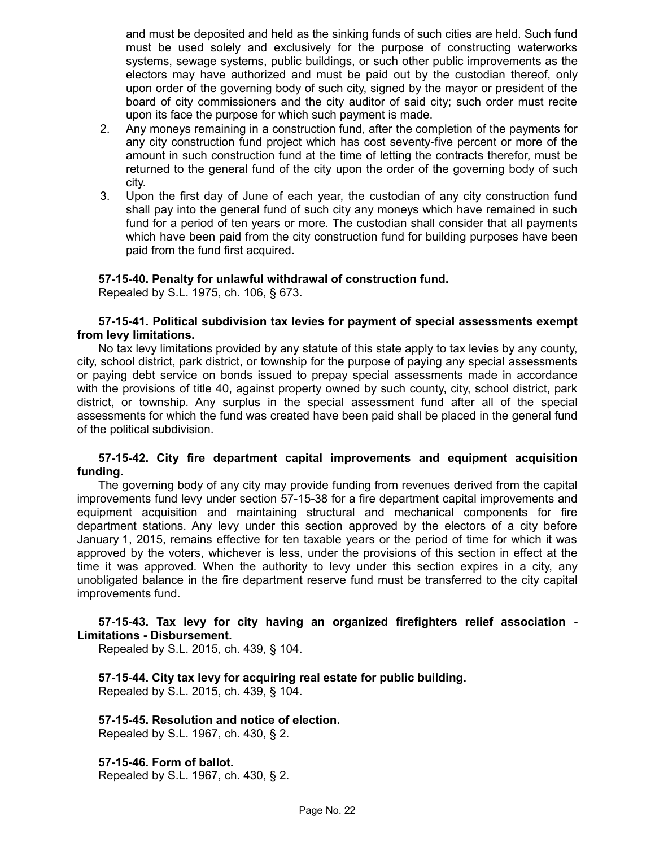and must be deposited and held as the sinking funds of such cities are held. Such fund must be used solely and exclusively for the purpose of constructing waterworks systems, sewage systems, public buildings, or such other public improvements as the electors may have authorized and must be paid out by the custodian thereof, only upon order of the governing body of such city, signed by the mayor or president of the board of city commissioners and the city auditor of said city; such order must recite upon its face the purpose for which such payment is made.

- 2. Any moneys remaining in a construction fund, after the completion of the payments for any city construction fund project which has cost seventy-five percent or more of the amount in such construction fund at the time of letting the contracts therefor, must be returned to the general fund of the city upon the order of the governing body of such city.
- 3. Upon the first day of June of each year, the custodian of any city construction fund shall pay into the general fund of such city any moneys which have remained in such fund for a period of ten years or more. The custodian shall consider that all payments which have been paid from the city construction fund for building purposes have been paid from the fund first acquired.

#### **57-15-40. Penalty for unlawful withdrawal of construction fund.**

Repealed by S.L. 1975, ch. 106, § 673.

#### **57-15-41. Political subdivision tax levies for payment of special assessments exempt from levy limitations.**

No tax levy limitations provided by any statute of this state apply to tax levies by any county, city, school district, park district, or township for the purpose of paying any special assessments or paying debt service on bonds issued to prepay special assessments made in accordance with the provisions of title 40, against property owned by such county, city, school district, park district, or township. Any surplus in the special assessment fund after all of the special assessments for which the fund was created have been paid shall be placed in the general fund of the political subdivision.

#### **57-15-42. City fire department capital improvements and equipment acquisition funding.**

The governing body of any city may provide funding from revenues derived from the capital improvements fund levy under section 57-15-38 for a fire department capital improvements and equipment acquisition and maintaining structural and mechanical components for fire department stations. Any levy under this section approved by the electors of a city before January 1, 2015, remains effective for ten taxable years or the period of time for which it was approved by the voters, whichever is less, under the provisions of this section in effect at the time it was approved. When the authority to levy under this section expires in a city, any unobligated balance in the fire department reserve fund must be transferred to the city capital improvements fund.

### **57-15-43. Tax levy for city having an organized firefighters relief association - Limitations - Disbursement.**

Repealed by S.L. 2015, ch. 439, § 104.

**57-15-44. City tax levy for acquiring real estate for public building.** Repealed by S.L. 2015, ch. 439, § 104.

## **57-15-45. Resolution and notice of election.**

Repealed by S.L. 1967, ch. 430, § 2.

**57-15-46. Form of ballot.** Repealed by S.L. 1967, ch. 430, § 2.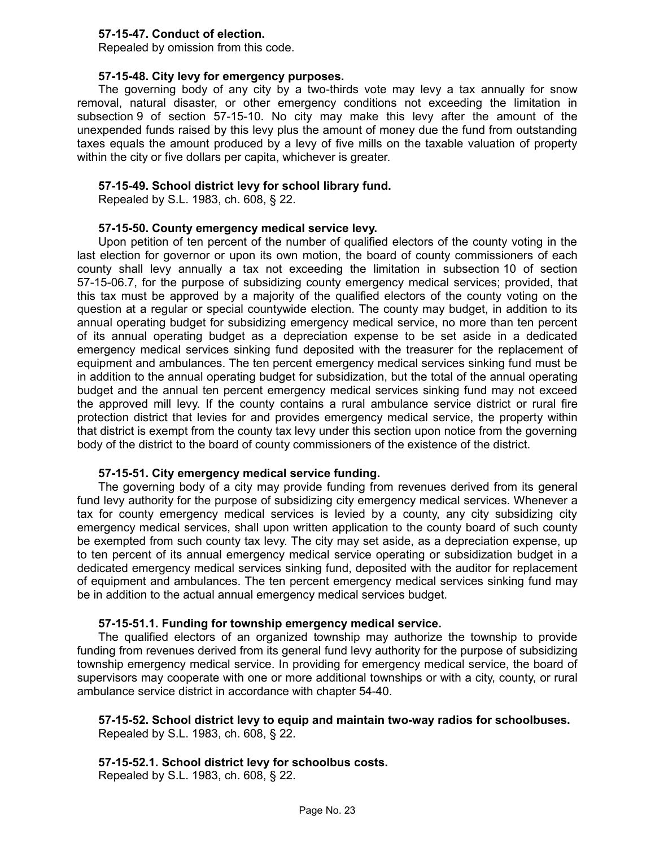## **57-15-47. Conduct of election.**

Repealed by omission from this code.

## **57-15-48. City levy for emergency purposes.**

The governing body of any city by a two-thirds vote may levy a tax annually for snow removal, natural disaster, or other emergency conditions not exceeding the limitation in subsection 9 of section 57-15-10. No city may make this levy after the amount of the unexpended funds raised by this levy plus the amount of money due the fund from outstanding taxes equals the amount produced by a levy of five mills on the taxable valuation of property within the city or five dollars per capita, whichever is greater.

## **57-15-49. School district levy for school library fund.**

Repealed by S.L. 1983, ch. 608, § 22.

## **57-15-50. County emergency medical service levy.**

Upon petition of ten percent of the number of qualified electors of the county voting in the last election for governor or upon its own motion, the board of county commissioners of each county shall levy annually a tax not exceeding the limitation in subsection 10 of section 57-15-06.7, for the purpose of subsidizing county emergency medical services; provided, that this tax must be approved by a majority of the qualified electors of the county voting on the question at a regular or special countywide election. The county may budget, in addition to its annual operating budget for subsidizing emergency medical service, no more than ten percent of its annual operating budget as a depreciation expense to be set aside in a dedicated emergency medical services sinking fund deposited with the treasurer for the replacement of equipment and ambulances. The ten percent emergency medical services sinking fund must be in addition to the annual operating budget for subsidization, but the total of the annual operating budget and the annual ten percent emergency medical services sinking fund may not exceed the approved mill levy. If the county contains a rural ambulance service district or rural fire protection district that levies for and provides emergency medical service, the property within that district is exempt from the county tax levy under this section upon notice from the governing body of the district to the board of county commissioners of the existence of the district.

## **57-15-51. City emergency medical service funding.**

The governing body of a city may provide funding from revenues derived from its general fund levy authority for the purpose of subsidizing city emergency medical services. Whenever a tax for county emergency medical services is levied by a county, any city subsidizing city emergency medical services, shall upon written application to the county board of such county be exempted from such county tax levy. The city may set aside, as a depreciation expense, up to ten percent of its annual emergency medical service operating or subsidization budget in a dedicated emergency medical services sinking fund, deposited with the auditor for replacement of equipment and ambulances. The ten percent emergency medical services sinking fund may be in addition to the actual annual emergency medical services budget.

## **57-15-51.1. Funding for township emergency medical service.**

The qualified electors of an organized township may authorize the township to provide funding from revenues derived from its general fund levy authority for the purpose of subsidizing township emergency medical service. In providing for emergency medical service, the board of supervisors may cooperate with one or more additional townships or with a city, county, or rural ambulance service district in accordance with chapter 54-40.

#### **57-15-52. School district levy to equip and maintain two-way radios for schoolbuses.** Repealed by S.L. 1983, ch. 608, § 22.

# **57-15-52.1. School district levy for schoolbus costs.**

Repealed by S.L. 1983, ch. 608, § 22.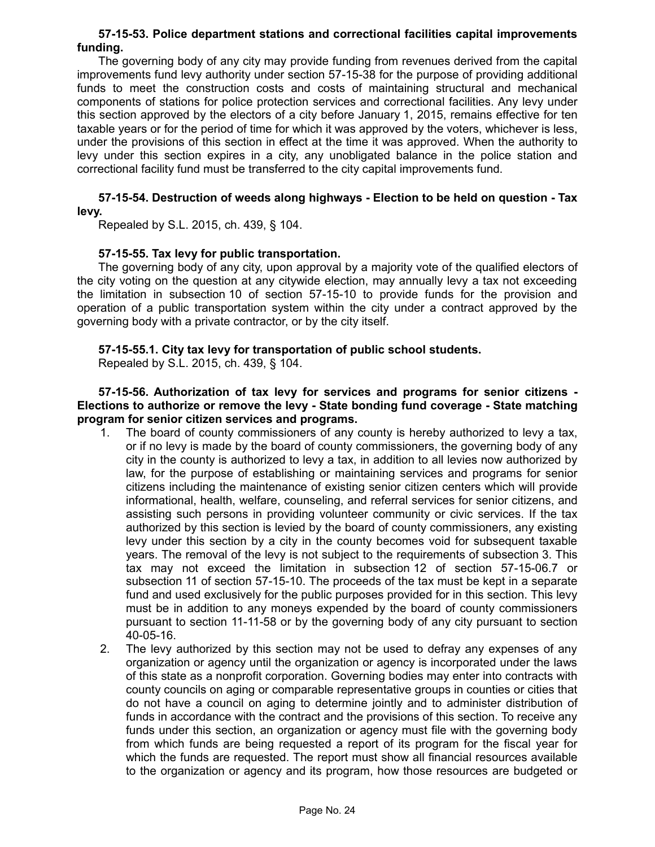### **57-15-53. Police department stations and correctional facilities capital improvements funding.**

The governing body of any city may provide funding from revenues derived from the capital improvements fund levy authority under section 57-15-38 for the purpose of providing additional funds to meet the construction costs and costs of maintaining structural and mechanical components of stations for police protection services and correctional facilities. Any levy under this section approved by the electors of a city before January 1, 2015, remains effective for ten taxable years or for the period of time for which it was approved by the voters, whichever is less, under the provisions of this section in effect at the time it was approved. When the authority to levy under this section expires in a city, any unobligated balance in the police station and correctional facility fund must be transferred to the city capital improvements fund.

#### **57-15-54. Destruction of weeds along highways - Election to be held on question - Tax levy.**

Repealed by S.L. 2015, ch. 439, § 104.

## **57-15-55. Tax levy for public transportation.**

The governing body of any city, upon approval by a majority vote of the qualified electors of the city voting on the question at any citywide election, may annually levy a tax not exceeding the limitation in subsection 10 of section 57-15-10 to provide funds for the provision and operation of a public transportation system within the city under a contract approved by the governing body with a private contractor, or by the city itself.

## **57-15-55.1. City tax levy for transportation of public school students.**

Repealed by S.L. 2015, ch. 439, § 104.

## **57-15-56. Authorization of tax levy for services and programs for senior citizens - Elections to authorize or remove the levy - State bonding fund coverage - State matching program for senior citizen services and programs.**

- 1. The board of county commissioners of any county is hereby authorized to levy a tax, or if no levy is made by the board of county commissioners, the governing body of any city in the county is authorized to levy a tax, in addition to all levies now authorized by law, for the purpose of establishing or maintaining services and programs for senior citizens including the maintenance of existing senior citizen centers which will provide informational, health, welfare, counseling, and referral services for senior citizens, and assisting such persons in providing volunteer community or civic services. If the tax authorized by this section is levied by the board of county commissioners, any existing levy under this section by a city in the county becomes void for subsequent taxable years. The removal of the levy is not subject to the requirements of subsection 3. This tax may not exceed the limitation in subsection 12 of section 57-15-06.7 or subsection 11 of section 57-15-10. The proceeds of the tax must be kept in a separate fund and used exclusively for the public purposes provided for in this section. This levy must be in addition to any moneys expended by the board of county commissioners pursuant to section 11-11-58 or by the governing body of any city pursuant to section 40-05-16.
- 2. The levy authorized by this section may not be used to defray any expenses of any organization or agency until the organization or agency is incorporated under the laws of this state as a nonprofit corporation. Governing bodies may enter into contracts with county councils on aging or comparable representative groups in counties or cities that do not have a council on aging to determine jointly and to administer distribution of funds in accordance with the contract and the provisions of this section. To receive any funds under this section, an organization or agency must file with the governing body from which funds are being requested a report of its program for the fiscal year for which the funds are requested. The report must show all financial resources available to the organization or agency and its program, how those resources are budgeted or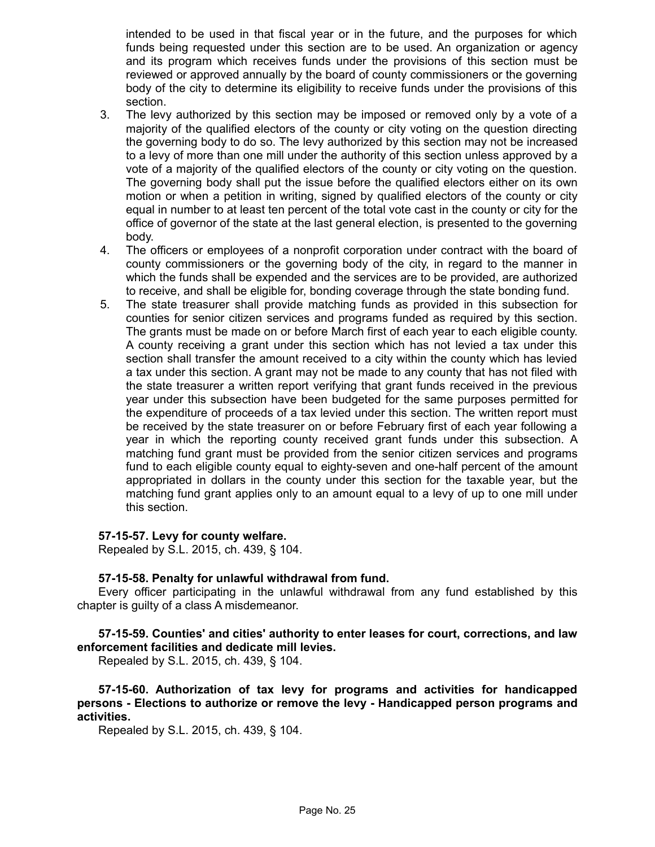intended to be used in that fiscal year or in the future, and the purposes for which funds being requested under this section are to be used. An organization or agency and its program which receives funds under the provisions of this section must be reviewed or approved annually by the board of county commissioners or the governing body of the city to determine its eligibility to receive funds under the provisions of this section.

- 3. The levy authorized by this section may be imposed or removed only by a vote of a majority of the qualified electors of the county or city voting on the question directing the governing body to do so. The levy authorized by this section may not be increased to a levy of more than one mill under the authority of this section unless approved by a vote of a majority of the qualified electors of the county or city voting on the question. The governing body shall put the issue before the qualified electors either on its own motion or when a petition in writing, signed by qualified electors of the county or city equal in number to at least ten percent of the total vote cast in the county or city for the office of governor of the state at the last general election, is presented to the governing body.
- 4. The officers or employees of a nonprofit corporation under contract with the board of county commissioners or the governing body of the city, in regard to the manner in which the funds shall be expended and the services are to be provided, are authorized to receive, and shall be eligible for, bonding coverage through the state bonding fund.
- 5. The state treasurer shall provide matching funds as provided in this subsection for counties for senior citizen services and programs funded as required by this section. The grants must be made on or before March first of each year to each eligible county. A county receiving a grant under this section which has not levied a tax under this section shall transfer the amount received to a city within the county which has levied a tax under this section. A grant may not be made to any county that has not filed with the state treasurer a written report verifying that grant funds received in the previous year under this subsection have been budgeted for the same purposes permitted for the expenditure of proceeds of a tax levied under this section. The written report must be received by the state treasurer on or before February first of each year following a year in which the reporting county received grant funds under this subsection. A matching fund grant must be provided from the senior citizen services and programs fund to each eligible county equal to eighty-seven and one-half percent of the amount appropriated in dollars in the county under this section for the taxable year, but the matching fund grant applies only to an amount equal to a levy of up to one mill under this section.

#### **57-15-57. Levy for county welfare.**

Repealed by S.L. 2015, ch. 439, § 104.

#### **57-15-58. Penalty for unlawful withdrawal from fund.**

Every officer participating in the unlawful withdrawal from any fund established by this chapter is guilty of a class A misdemeanor.

**57-15-59. Counties' and cities' authority to enter leases for court, corrections, and law enforcement facilities and dedicate mill levies.**

Repealed by S.L. 2015, ch. 439, § 104.

**57-15-60. Authorization of tax levy for programs and activities for handicapped persons - Elections to authorize or remove the levy - Handicapped person programs and activities.**

Repealed by S.L. 2015, ch. 439, § 104.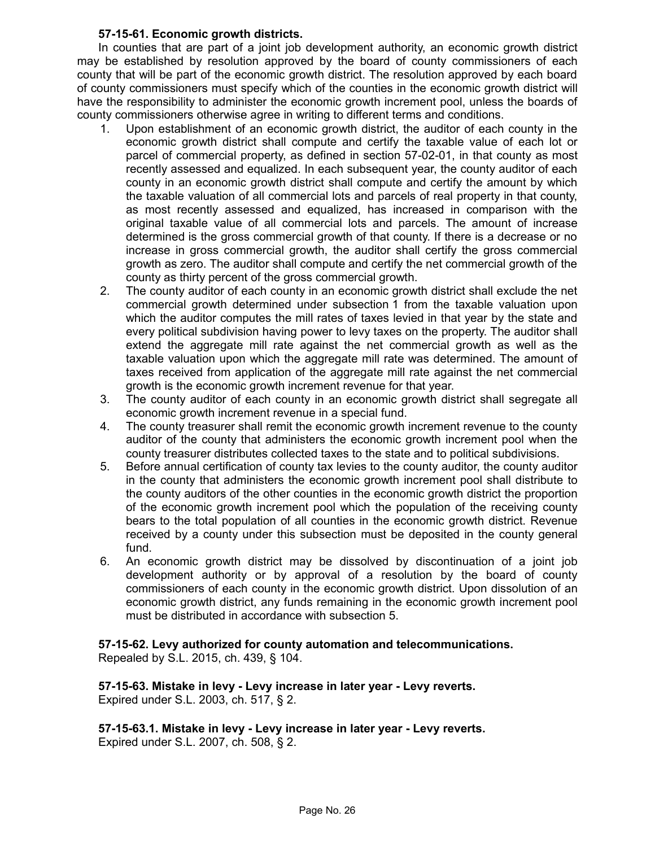## **57-15-61. Economic growth districts.**

In counties that are part of a joint job development authority, an economic growth district may be established by resolution approved by the board of county commissioners of each county that will be part of the economic growth district. The resolution approved by each board of county commissioners must specify which of the counties in the economic growth district will have the responsibility to administer the economic growth increment pool, unless the boards of county commissioners otherwise agree in writing to different terms and conditions.

- 1. Upon establishment of an economic growth district, the auditor of each county in the economic growth district shall compute and certify the taxable value of each lot or parcel of commercial property, as defined in section 57-02-01, in that county as most recently assessed and equalized. In each subsequent year, the county auditor of each county in an economic growth district shall compute and certify the amount by which the taxable valuation of all commercial lots and parcels of real property in that county, as most recently assessed and equalized, has increased in comparison with the original taxable value of all commercial lots and parcels. The amount of increase determined is the gross commercial growth of that county. If there is a decrease or no increase in gross commercial growth, the auditor shall certify the gross commercial growth as zero. The auditor shall compute and certify the net commercial growth of the county as thirty percent of the gross commercial growth.
- 2. The county auditor of each county in an economic growth district shall exclude the net commercial growth determined under subsection 1 from the taxable valuation upon which the auditor computes the mill rates of taxes levied in that year by the state and every political subdivision having power to levy taxes on the property. The auditor shall extend the aggregate mill rate against the net commercial growth as well as the taxable valuation upon which the aggregate mill rate was determined. The amount of taxes received from application of the aggregate mill rate against the net commercial growth is the economic growth increment revenue for that year.
- 3. The county auditor of each county in an economic growth district shall segregate all economic growth increment revenue in a special fund.
- 4. The county treasurer shall remit the economic growth increment revenue to the county auditor of the county that administers the economic growth increment pool when the county treasurer distributes collected taxes to the state and to political subdivisions.
- 5. Before annual certification of county tax levies to the county auditor, the county auditor in the county that administers the economic growth increment pool shall distribute to the county auditors of the other counties in the economic growth district the proportion of the economic growth increment pool which the population of the receiving county bears to the total population of all counties in the economic growth district. Revenue received by a county under this subsection must be deposited in the county general fund.
- 6. An economic growth district may be dissolved by discontinuation of a joint job development authority or by approval of a resolution by the board of county commissioners of each county in the economic growth district. Upon dissolution of an economic growth district, any funds remaining in the economic growth increment pool must be distributed in accordance with subsection 5.

**57-15-62. Levy authorized for county automation and telecommunications.** Repealed by S.L. 2015, ch. 439, § 104.

**57-15-63. Mistake in levy - Levy increase in later year - Levy reverts.** Expired under S.L. 2003, ch. 517, § 2.

**57-15-63.1. Mistake in levy - Levy increase in later year - Levy reverts.** Expired under S.L. 2007, ch. 508, § 2.